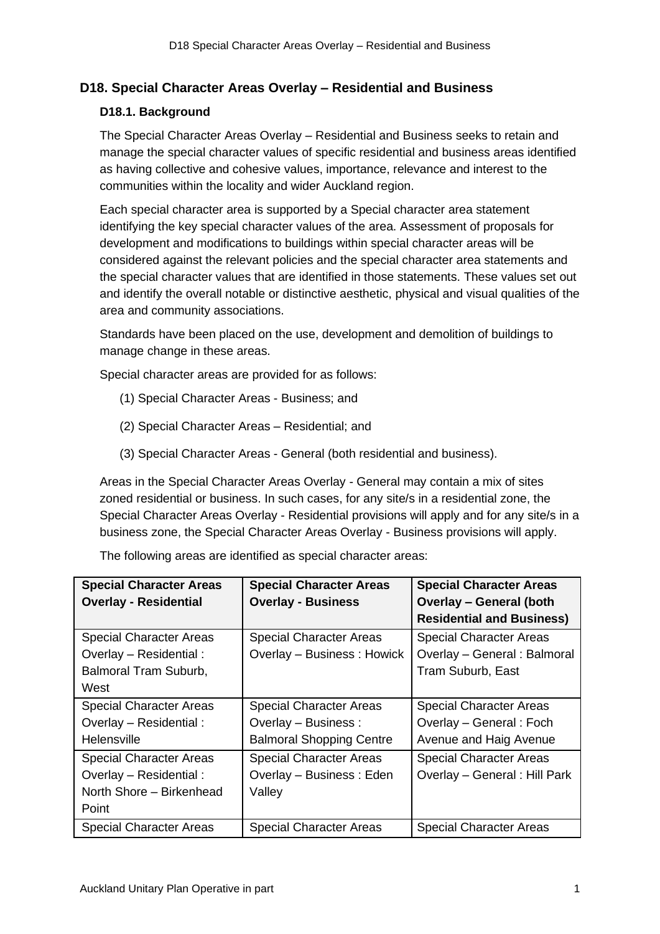# **D18. Special Character Areas Overlay – Residential and Business**

# **D18.1. Background**

The Special Character Areas Overlay – Residential and Business seeks to retain and manage the special character values of specific residential and business areas identified as having collective and cohesive values, importance, relevance and interest to the communities within the locality and wider Auckland region.

Each special character area is supported by a Special character area statement identifying the key special character values of the area. Assessment of proposals for development and modifications to buildings within special character areas will be considered against the relevant policies and the special character area statements and the special character values that are identified in those statements. These values set out and identify the overall notable or distinctive aesthetic, physical and visual qualities of the area and community associations.

Standards have been placed on the use, development and demolition of buildings to manage change in these areas.

Special character areas are provided for as follows:

- (1) Special Character Areas Business; and
- (2) Special Character Areas Residential; and
- (3) Special Character Areas General (both residential and business).

Areas in the Special Character Areas Overlay - General may contain a mix of sites zoned residential or business. In such cases, for any site/s in a residential zone, the Special Character Areas Overlay - Residential provisions will apply and for any site/s in a business zone, the Special Character Areas Overlay - Business provisions will apply.

| <b>Special Character Areas</b><br><b>Overlay - Residential</b> | <b>Special Character Areas</b><br><b>Overlay - Business</b> | <b>Special Character Areas</b><br><b>Overlay - General (both</b> |
|----------------------------------------------------------------|-------------------------------------------------------------|------------------------------------------------------------------|
|                                                                |                                                             | <b>Residential and Business)</b>                                 |
| <b>Special Character Areas</b>                                 | <b>Special Character Areas</b>                              | <b>Special Character Areas</b>                                   |
| Overlay - Residential :                                        | Overlay - Business: Howick                                  | Overlay - General : Balmoral                                     |
| Balmoral Tram Suburb,                                          |                                                             | Tram Suburb, East                                                |
| West                                                           |                                                             |                                                                  |
| <b>Special Character Areas</b>                                 | <b>Special Character Areas</b>                              | <b>Special Character Areas</b>                                   |
| Overlay - Residential :                                        | Overlay - Business :                                        | Overlay - General: Foch                                          |
| Helensville                                                    | <b>Balmoral Shopping Centre</b>                             | Avenue and Haig Avenue                                           |
| <b>Special Character Areas</b>                                 | <b>Special Character Areas</b>                              | <b>Special Character Areas</b>                                   |
| Overlay - Residential :                                        | Overlay - Business: Eden                                    | Overlay - General : Hill Park                                    |
| North Shore - Birkenhead                                       | Valley                                                      |                                                                  |
| Point                                                          |                                                             |                                                                  |
| <b>Special Character Areas</b>                                 | <b>Special Character Areas</b>                              | <b>Special Character Areas</b>                                   |

The following areas are identified as special character areas: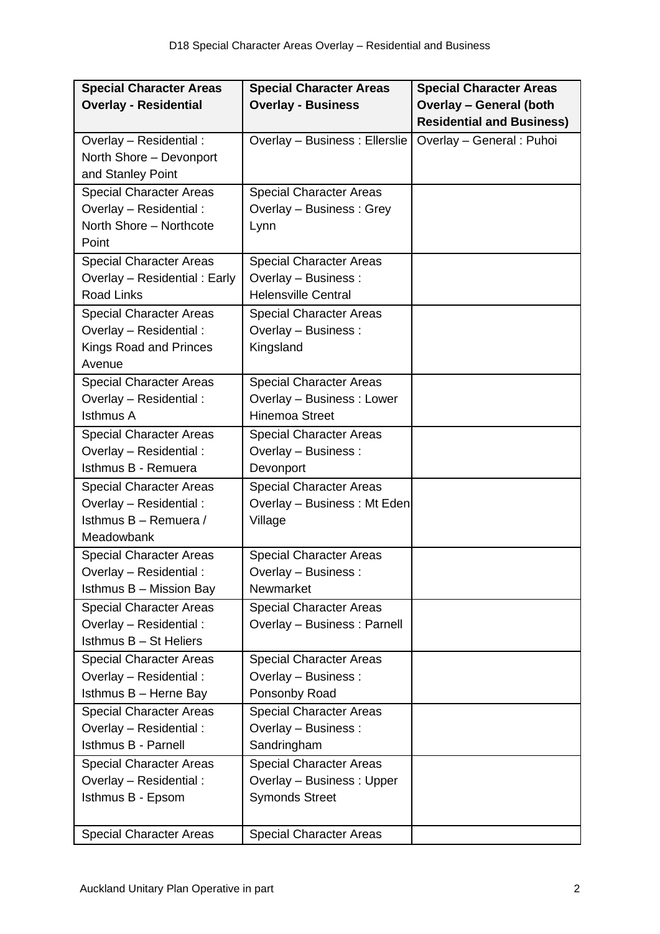| <b>Special Character Areas</b> | <b>Special Character Areas</b> | <b>Special Character Areas</b>   |
|--------------------------------|--------------------------------|----------------------------------|
| <b>Overlay - Residential</b>   | <b>Overlay - Business</b>      | <b>Overlay - General (both</b>   |
|                                |                                | <b>Residential and Business)</b> |
| Overlay - Residential :        | Overlay - Business : Ellerslie | Overlay - General : Puhoi        |
| North Shore - Devonport        |                                |                                  |
| and Stanley Point              |                                |                                  |
| <b>Special Character Areas</b> | <b>Special Character Areas</b> |                                  |
| Overlay - Residential :        | Overlay - Business: Grey       |                                  |
| North Shore - Northcote        | Lynn                           |                                  |
| Point                          |                                |                                  |
| <b>Special Character Areas</b> | <b>Special Character Areas</b> |                                  |
| Overlay - Residential: Early   | Overlay - Business :           |                                  |
| <b>Road Links</b>              | <b>Helensville Central</b>     |                                  |
| <b>Special Character Areas</b> | <b>Special Character Areas</b> |                                  |
| Overlay - Residential :        | Overlay - Business :           |                                  |
| Kings Road and Princes         | Kingsland                      |                                  |
| Avenue                         |                                |                                  |
| <b>Special Character Areas</b> | <b>Special Character Areas</b> |                                  |
| Overlay - Residential:         | Overlay - Business: Lower      |                                  |
| <b>Isthmus A</b>               | <b>Hinemoa Street</b>          |                                  |
| <b>Special Character Areas</b> | <b>Special Character Areas</b> |                                  |
| Overlay - Residential:         | Overlay - Business :           |                                  |
| Isthmus B - Remuera            | Devonport                      |                                  |
| <b>Special Character Areas</b> | <b>Special Character Areas</b> |                                  |
| Overlay - Residential:         | Overlay - Business: Mt Eden    |                                  |
| Isthmus B - Remuera /          | Village                        |                                  |
| Meadowbank                     |                                |                                  |
| <b>Special Character Areas</b> | <b>Special Character Areas</b> |                                  |
| Overlay - Residential:         | Overlay - Business:            |                                  |
| Isthmus B - Mission Bay        | Newmarket                      |                                  |
| <b>Special Character Areas</b> | <b>Special Character Areas</b> |                                  |
| Overlay - Residential :        | Overlay - Business: Parnell    |                                  |
| Isthmus B - St Heliers         |                                |                                  |
| <b>Special Character Areas</b> | <b>Special Character Areas</b> |                                  |
| Overlay - Residential :        | Overlay - Business :           |                                  |
| Isthmus B - Herne Bay          | Ponsonby Road                  |                                  |
| <b>Special Character Areas</b> | <b>Special Character Areas</b> |                                  |
| Overlay - Residential :        | Overlay - Business :           |                                  |
| Isthmus B - Parnell            | Sandringham                    |                                  |
| <b>Special Character Areas</b> | <b>Special Character Areas</b> |                                  |
| Overlay - Residential :        | Overlay - Business: Upper      |                                  |
| Isthmus B - Epsom              | <b>Symonds Street</b>          |                                  |
|                                |                                |                                  |
| <b>Special Character Areas</b> | <b>Special Character Areas</b> |                                  |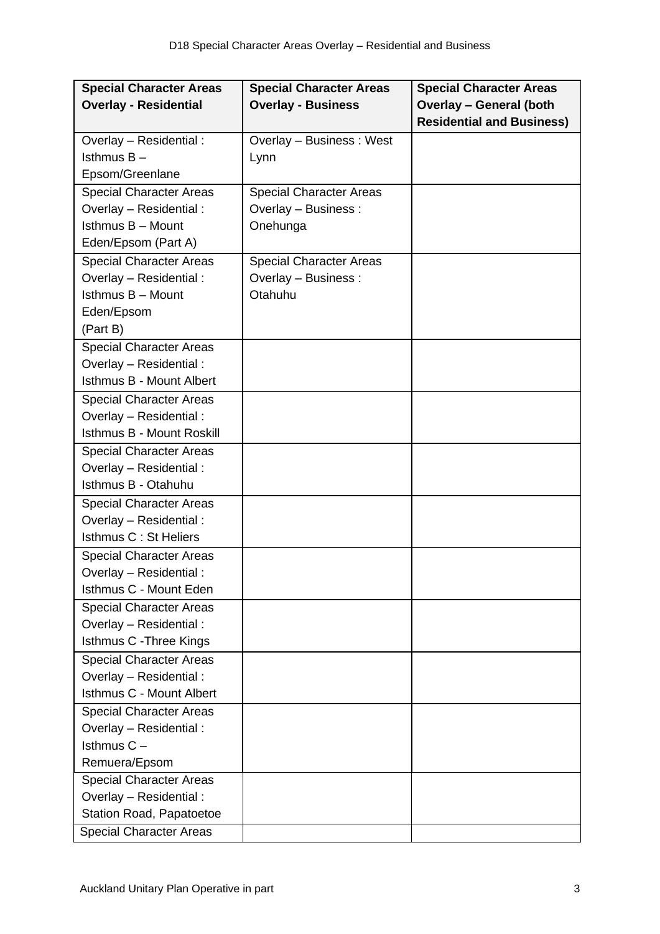| <b>Special Character Areas</b>  | <b>Special Character Areas</b> | <b>Special Character Areas</b>   |
|---------------------------------|--------------------------------|----------------------------------|
| <b>Overlay - Residential</b>    | <b>Overlay - Business</b>      | <b>Overlay - General (both</b>   |
|                                 |                                | <b>Residential and Business)</b> |
| Overlay - Residential:          | Overlay - Business: West       |                                  |
| Isthmus $B -$                   | Lynn                           |                                  |
| Epsom/Greenlane                 |                                |                                  |
| <b>Special Character Areas</b>  | <b>Special Character Areas</b> |                                  |
| Overlay - Residential :         | Overlay - Business :           |                                  |
| Isthmus B - Mount               | Onehunga                       |                                  |
| Eden/Epsom (Part A)             |                                |                                  |
| <b>Special Character Areas</b>  | <b>Special Character Areas</b> |                                  |
| Overlay - Residential:          | Overlay - Business :           |                                  |
| Isthmus B - Mount               | Otahuhu                        |                                  |
| Eden/Epsom                      |                                |                                  |
| (Part B)                        |                                |                                  |
| <b>Special Character Areas</b>  |                                |                                  |
| Overlay - Residential:          |                                |                                  |
| <b>Isthmus B - Mount Albert</b> |                                |                                  |
| <b>Special Character Areas</b>  |                                |                                  |
| Overlay - Residential:          |                                |                                  |
| Isthmus B - Mount Roskill       |                                |                                  |
| <b>Special Character Areas</b>  |                                |                                  |
| Overlay - Residential :         |                                |                                  |
| Isthmus B - Otahuhu             |                                |                                  |
| <b>Special Character Areas</b>  |                                |                                  |
| Overlay - Residential :         |                                |                                  |
| Isthmus C: St Heliers           |                                |                                  |
| <b>Special Character Areas</b>  |                                |                                  |
| Overlay - Residential:          |                                |                                  |
| Isthmus C - Mount Eden          |                                |                                  |
| <b>Special Character Areas</b>  |                                |                                  |
| Overlay - Residential :         |                                |                                  |
| Isthmus C - Three Kings         |                                |                                  |
| <b>Special Character Areas</b>  |                                |                                  |
| Overlay - Residential :         |                                |                                  |
| Isthmus C - Mount Albert        |                                |                                  |
| <b>Special Character Areas</b>  |                                |                                  |
| Overlay - Residential :         |                                |                                  |
| Isthmus $C -$                   |                                |                                  |
| Remuera/Epsom                   |                                |                                  |
| <b>Special Character Areas</b>  |                                |                                  |
| Overlay - Residential :         |                                |                                  |
| Station Road, Papatoetoe        |                                |                                  |
| <b>Special Character Areas</b>  |                                |                                  |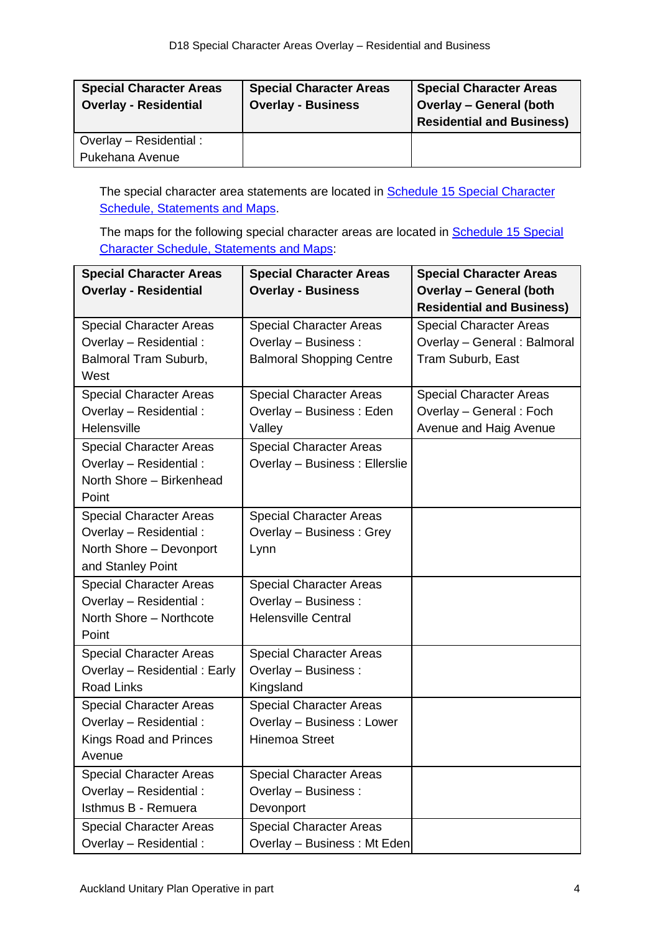| <b>Special Character Areas</b><br><b>Overlay - Residential</b> | <b>Special Character Areas</b><br><b>Overlay - Business</b> | <b>Special Character Areas</b><br><b>Overlay - General (both</b><br><b>Residential and Business)</b> |
|----------------------------------------------------------------|-------------------------------------------------------------|------------------------------------------------------------------------------------------------------|
| Overlay - Residential :                                        |                                                             |                                                                                                      |
| Pukehana Avenue                                                |                                                             |                                                                                                      |

The special character area statements are located in **Schedule 15 Special Character** [Schedule, Statements and Maps.](http://unitaryplan.aucklandcouncil.govt.nz/Images/Auckland%20Unitary%20Plan%20Operative/Chapter%20L%20Schedules/Schedule%2015%20Special%20Character%20Schedule%20Statements%20and%20Maps.pdf)

The maps for the following special character areas are located in **Schedule 15 Special** [Character Schedule, Statements and Maps:](http://unitaryplan.aucklandcouncil.govt.nz/Images/Auckland%20Unitary%20Plan%20Operative/Chapter%20L%20Schedules/Schedule%2015%20Special%20Character%20Schedule%20Statements%20and%20Maps.pdf)

| <b>Special Character Areas</b> | <b>Special Character Areas</b>  | <b>Special Character Areas</b>   |
|--------------------------------|---------------------------------|----------------------------------|
| <b>Overlay - Residential</b>   | <b>Overlay - Business</b>       | <b>Overlay - General (both</b>   |
|                                |                                 | <b>Residential and Business)</b> |
| <b>Special Character Areas</b> | <b>Special Character Areas</b>  | <b>Special Character Areas</b>   |
| Overlay - Residential :        | Overlay - Business :            | Overlay - General : Balmoral     |
| Balmoral Tram Suburb,          | <b>Balmoral Shopping Centre</b> | Tram Suburb, East                |
| West                           |                                 |                                  |
| <b>Special Character Areas</b> | <b>Special Character Areas</b>  | <b>Special Character Areas</b>   |
| Overlay - Residential:         | Overlay - Business: Eden        | Overlay - General : Foch         |
| Helensville                    | Valley                          | Avenue and Haig Avenue           |
| <b>Special Character Areas</b> | <b>Special Character Areas</b>  |                                  |
| Overlay - Residential:         | Overlay - Business : Ellerslie  |                                  |
| North Shore - Birkenhead       |                                 |                                  |
| Point                          |                                 |                                  |
| <b>Special Character Areas</b> | <b>Special Character Areas</b>  |                                  |
| Overlay - Residential:         | Overlay - Business: Grey        |                                  |
| North Shore - Devonport        | Lynn                            |                                  |
| and Stanley Point              |                                 |                                  |
| <b>Special Character Areas</b> | <b>Special Character Areas</b>  |                                  |
| Overlay - Residential:         | Overlay - Business :            |                                  |
| North Shore - Northcote        | <b>Helensville Central</b>      |                                  |
| Point                          |                                 |                                  |
| <b>Special Character Areas</b> | <b>Special Character Areas</b>  |                                  |
| Overlay - Residential: Early   | Overlay - Business :            |                                  |
| <b>Road Links</b>              | Kingsland                       |                                  |
| <b>Special Character Areas</b> | <b>Special Character Areas</b>  |                                  |
| Overlay - Residential :        | Overlay - Business: Lower       |                                  |
| Kings Road and Princes         | <b>Hinemoa Street</b>           |                                  |
| Avenue                         |                                 |                                  |
| <b>Special Character Areas</b> | <b>Special Character Areas</b>  |                                  |
| Overlay - Residential :        | Overlay - Business :            |                                  |
| Isthmus B - Remuera            | Devonport                       |                                  |
| <b>Special Character Areas</b> | <b>Special Character Areas</b>  |                                  |
| Overlay - Residential:         | Overlay - Business: Mt Eden     |                                  |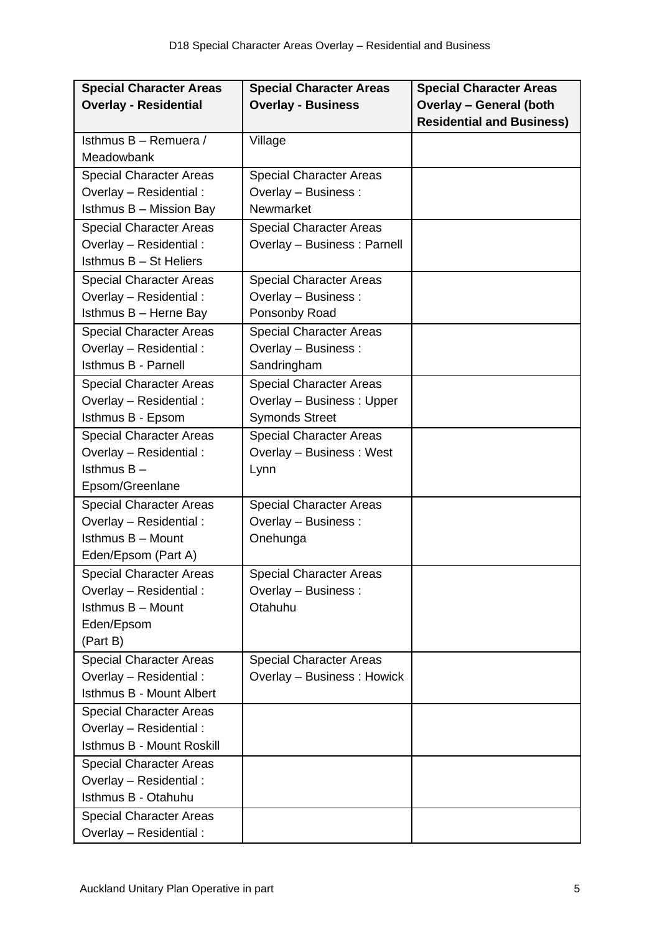| <b>Special Character Areas</b>  | <b>Special Character Areas</b> | <b>Special Character Areas</b>   |
|---------------------------------|--------------------------------|----------------------------------|
| <b>Overlay - Residential</b>    | <b>Overlay - Business</b>      | <b>Overlay - General (both</b>   |
|                                 |                                | <b>Residential and Business)</b> |
| Isthmus B - Remuera /           | Village                        |                                  |
| Meadowbank                      |                                |                                  |
| <b>Special Character Areas</b>  | <b>Special Character Areas</b> |                                  |
| Overlay - Residential:          | Overlay - Business :           |                                  |
| Isthmus B - Mission Bay         | Newmarket                      |                                  |
| <b>Special Character Areas</b>  | <b>Special Character Areas</b> |                                  |
| Overlay - Residential :         | Overlay - Business: Parnell    |                                  |
| Isthmus B - St Heliers          |                                |                                  |
| <b>Special Character Areas</b>  | <b>Special Character Areas</b> |                                  |
| Overlay - Residential:          | Overlay - Business :           |                                  |
| Isthmus B - Herne Bay           | Ponsonby Road                  |                                  |
| <b>Special Character Areas</b>  | <b>Special Character Areas</b> |                                  |
| Overlay - Residential:          | Overlay - Business :           |                                  |
| Isthmus B - Parnell             | Sandringham                    |                                  |
| <b>Special Character Areas</b>  | <b>Special Character Areas</b> |                                  |
| Overlay - Residential :         | Overlay - Business: Upper      |                                  |
| Isthmus B - Epsom               | <b>Symonds Street</b>          |                                  |
| <b>Special Character Areas</b>  | <b>Special Character Areas</b> |                                  |
| Overlay - Residential:          | Overlay - Business: West       |                                  |
| Isthmus $B -$                   | Lynn                           |                                  |
| Epsom/Greenlane                 |                                |                                  |
| <b>Special Character Areas</b>  | <b>Special Character Areas</b> |                                  |
| Overlay - Residential:          | Overlay - Business :           |                                  |
| Isthmus B - Mount               | Onehunga                       |                                  |
| Eden/Epsom (Part A)             |                                |                                  |
| <b>Special Character Areas</b>  | <b>Special Character Areas</b> |                                  |
| Overlay - Residential:          | Overlay - Business :           |                                  |
| Isthmus B - Mount               | Otahuhu                        |                                  |
| Eden/Epsom                      |                                |                                  |
| (Part B)                        |                                |                                  |
| <b>Special Character Areas</b>  | <b>Special Character Areas</b> |                                  |
| Overlay - Residential:          | Overlay - Business: Howick     |                                  |
| <b>Isthmus B - Mount Albert</b> |                                |                                  |
| <b>Special Character Areas</b>  |                                |                                  |
| Overlay - Residential :         |                                |                                  |
| Isthmus B - Mount Roskill       |                                |                                  |
| <b>Special Character Areas</b>  |                                |                                  |
| Overlay - Residential:          |                                |                                  |
| Isthmus B - Otahuhu             |                                |                                  |
| <b>Special Character Areas</b>  |                                |                                  |
| Overlay - Residential:          |                                |                                  |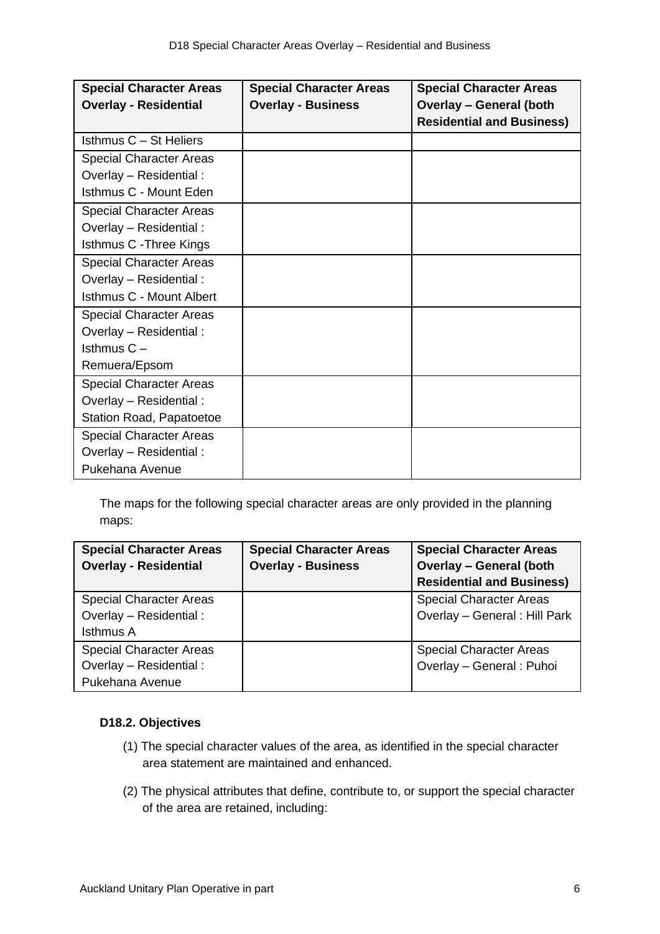| <b>Special Character Areas</b>  | <b>Special Character Areas</b> | <b>Special Character Areas</b>   |
|---------------------------------|--------------------------------|----------------------------------|
| <b>Overlay - Residential</b>    | <b>Overlay - Business</b>      | <b>Overlay - General (both</b>   |
|                                 |                                | <b>Residential and Business)</b> |
| Isthmus C - St Heliers          |                                |                                  |
| <b>Special Character Areas</b>  |                                |                                  |
| Overlay - Residential:          |                                |                                  |
| Isthmus C - Mount Eden          |                                |                                  |
| <b>Special Character Areas</b>  |                                |                                  |
| Overlay - Residential :         |                                |                                  |
| Isthmus C - Three Kings         |                                |                                  |
| <b>Special Character Areas</b>  |                                |                                  |
| Overlay - Residential :         |                                |                                  |
| Isthmus C - Mount Albert        |                                |                                  |
| <b>Special Character Areas</b>  |                                |                                  |
| Overlay - Residential :         |                                |                                  |
| Isthmus $C -$                   |                                |                                  |
| Remuera/Epsom                   |                                |                                  |
| <b>Special Character Areas</b>  |                                |                                  |
| Overlay - Residential:          |                                |                                  |
| <b>Station Road, Papatoetoe</b> |                                |                                  |
| <b>Special Character Areas</b>  |                                |                                  |
| Overlay - Residential :         |                                |                                  |
| Pukehana Avenue                 |                                |                                  |

The maps for the following special character areas are only provided in the planning maps:

| <b>Special Character Areas</b><br><b>Overlay - Residential</b> | <b>Special Character Areas</b><br><b>Overlay - Business</b> | <b>Special Character Areas</b><br><b>Overlay - General (both</b> |
|----------------------------------------------------------------|-------------------------------------------------------------|------------------------------------------------------------------|
|                                                                |                                                             | <b>Residential and Business)</b>                                 |
| <b>Special Character Areas</b>                                 |                                                             | <b>Special Character Areas</b>                                   |
| Overlay - Residential :                                        |                                                             | Overlay - General : Hill Park                                    |
| <b>Isthmus A</b>                                               |                                                             |                                                                  |
| <b>Special Character Areas</b>                                 |                                                             | <b>Special Character Areas</b>                                   |
| Overlay - Residential :                                        |                                                             | Overlay - General : Puhoi                                        |
| Pukehana Avenue                                                |                                                             |                                                                  |

# **D18.2. Objectives**

- (1) The special character values of the area, as identified in the special character area statement are maintained and enhanced.
- (2) The physical attributes that define, contribute to, or support the special character of the area are retained, including: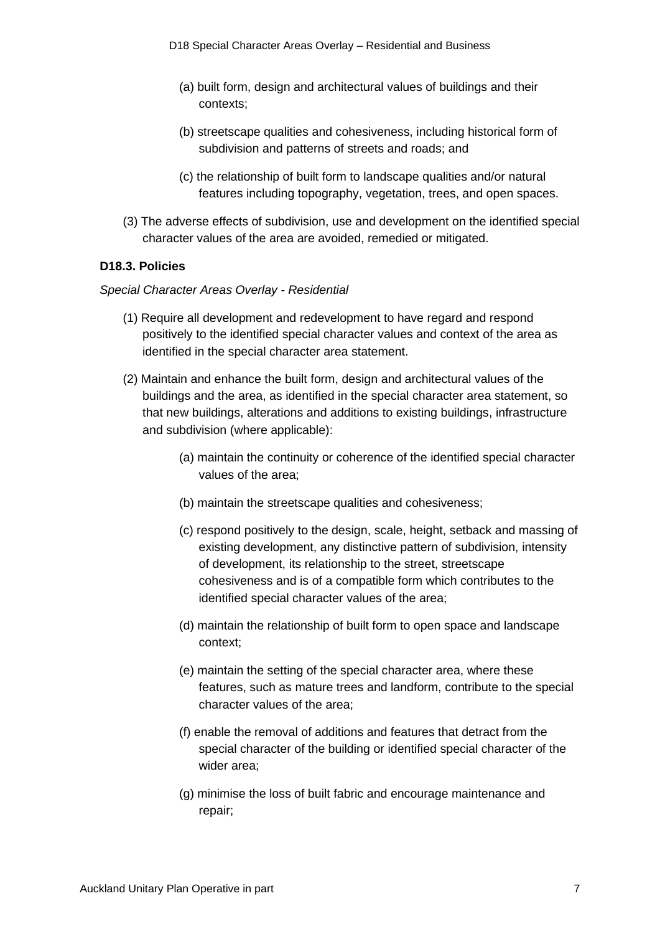- (a) built form, design and architectural values of buildings and their contexts;
- (b) streetscape qualities and cohesiveness, including historical form of subdivision and patterns of streets and roads; and
- (c) the relationship of built form to landscape qualities and/or natural features including topography, vegetation, trees, and open spaces.
- (3) The adverse effects of subdivision, use and development on the identified special character values of the area are avoided, remedied or mitigated.

#### **D18.3. Policies**

#### *Special Character Areas Overlay - Residential*

- (1) Require all development and redevelopment to have regard and respond positively to the identified special character values and context of the area as identified in the special character area statement.
- (2) Maintain and enhance the built form, design and architectural values of the buildings and the area, as identified in the special character area statement, so that new buildings, alterations and additions to existing buildings, infrastructure and subdivision (where applicable):
	- (a) maintain the continuity or coherence of the identified special character values of the area;
	- (b) maintain the streetscape qualities and cohesiveness;
	- (c) respond positively to the design, scale, height, setback and massing of existing development, any distinctive pattern of subdivision, intensity of development, its relationship to the street, streetscape cohesiveness and is of a compatible form which contributes to the identified special character values of the area;
	- (d) maintain the relationship of built form to open space and landscape context;
	- (e) maintain the setting of the special character area, where these features, such as mature trees and landform, contribute to the special character values of the area;
	- (f) enable the removal of additions and features that detract from the special character of the building or identified special character of the wider area;
	- (g) minimise the loss of built fabric and encourage maintenance and repair;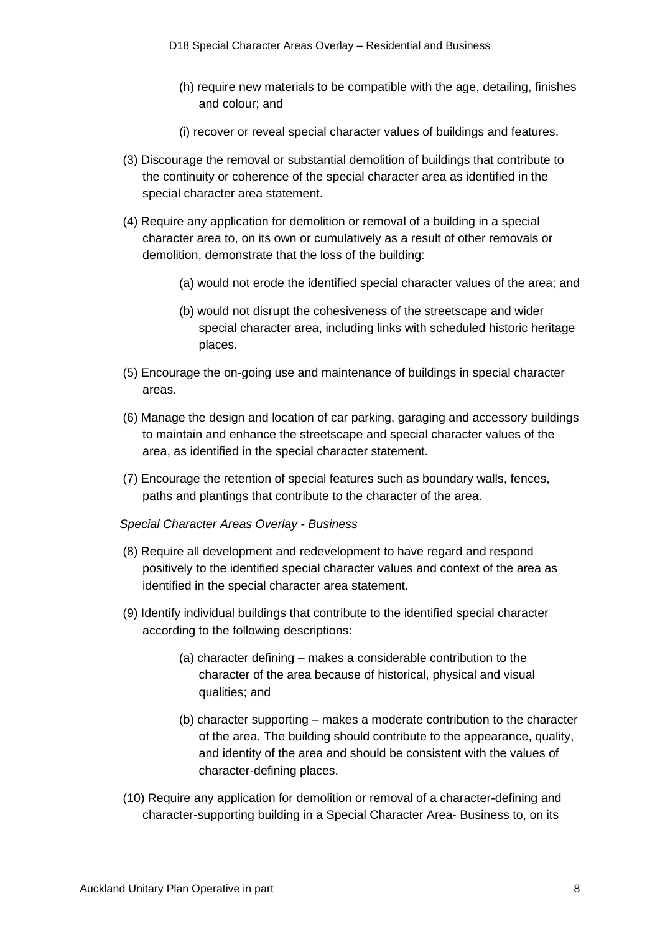- (h) require new materials to be compatible with the age, detailing, finishes and colour; and
- (i) recover or reveal special character values of buildings and features.
- (3) Discourage the removal or substantial demolition of buildings that contribute to the continuity or coherence of the special character area as identified in the special character area statement.
- (4) Require any application for demolition or removal of a building in a special character area to, on its own or cumulatively as a result of other removals or demolition, demonstrate that the loss of the building:
	- (a) would not erode the identified special character values of the area; and
	- (b) would not disrupt the cohesiveness of the streetscape and wider special character area, including links with scheduled historic heritage places.
- (5) Encourage the on-going use and maintenance of buildings in special character areas.
- (6) Manage the design and location of car parking, garaging and accessory buildings to maintain and enhance the streetscape and special character values of the area, as identified in the special character statement.
- (7) Encourage the retention of special features such as boundary walls, fences, paths and plantings that contribute to the character of the area.
- *Special Character Areas Overlay - Business*
- (8) Require all development and redevelopment to have regard and respond positively to the identified special character values and context of the area as identified in the special character area statement.
- (9) Identify individual buildings that contribute to the identified special character according to the following descriptions:
	- (a) character defining makes a considerable contribution to the character of the area because of historical, physical and visual qualities; and
	- (b) character supporting makes a moderate contribution to the character of the area. The building should contribute to the appearance, quality, and identity of the area and should be consistent with the values of character-defining places.
- (10) Require any application for demolition or removal of a character-defining and character-supporting building in a Special Character Area- Business to, on its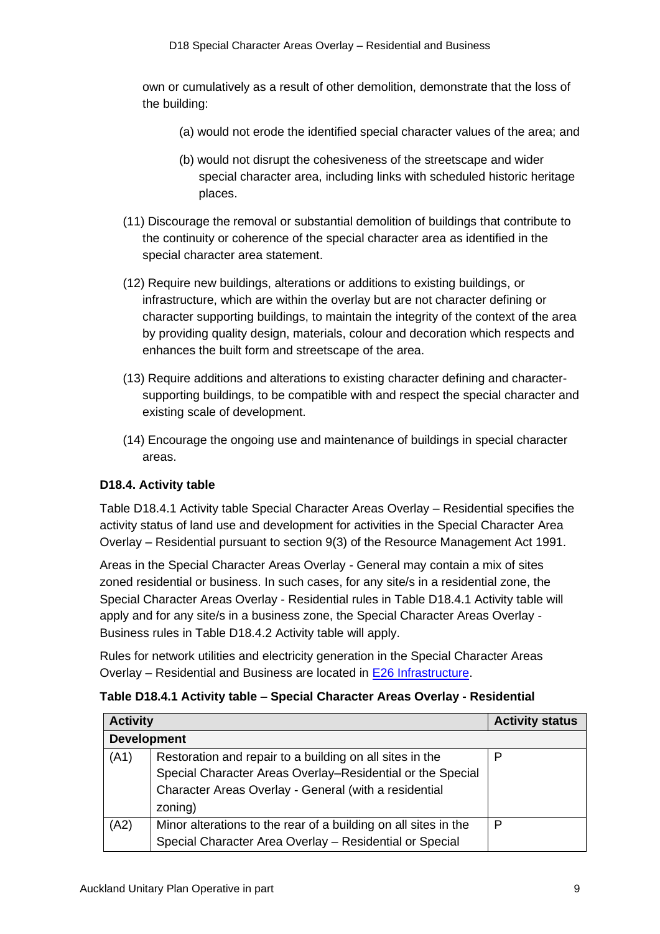own or cumulatively as a result of other demolition, demonstrate that the loss of the building:

- (a) would not erode the identified special character values of the area; and
- (b) would not disrupt the cohesiveness of the streetscape and wider special character area, including links with scheduled historic heritage places.
- (11) Discourage the removal or substantial demolition of buildings that contribute to the continuity or coherence of the special character area as identified in the special character area statement.
- (12) Require new buildings, alterations or additions to existing buildings, or infrastructure, which are within the overlay but are not character defining or character supporting buildings, to maintain the integrity of the context of the area by providing quality design, materials, colour and decoration which respects and enhances the built form and streetscape of the area.
- (13) Require additions and alterations to existing character defining and charactersupporting buildings, to be compatible with and respect the special character and existing scale of development.
- (14) Encourage the ongoing use and maintenance of buildings in special character areas.

# **D18.4. Activity table**

Table D18.4.1 Activity table Special Character Areas Overlay – Residential specifies the activity status of land use and development for activities in the Special Character Area Overlay – Residential pursuant to section 9(3) of the Resource Management Act 1991.

Areas in the Special Character Areas Overlay - General may contain a mix of sites zoned residential or business. In such cases, for any site/s in a residential zone, the Special Character Areas Overlay - Residential rules in Table D18.4.1 Activity table will apply and for any site/s in a business zone, the Special Character Areas Overlay - Business rules in Table D18.4.2 Activity table will apply.

Rules for network utilities and electricity generation in the Special Character Areas Overlay – Residential and Business are located in [E26 Infrastructure.](http://unitaryplan.aucklandcouncil.govt.nz/Images/Auckland%20Unitary%20Plan%20Operative/Chapter%20E%20Auckland-wide/4.%20Infrastructure/E26%20Infrastructure.pdf)

| <b>Activity</b> |                                                                 | <b>Activity status</b> |
|-----------------|-----------------------------------------------------------------|------------------------|
|                 | <b>Development</b>                                              |                        |
| (A1)            | Restoration and repair to a building on all sites in the        | P                      |
|                 | Special Character Areas Overlay-Residential or the Special      |                        |
|                 | Character Areas Overlay - General (with a residential           |                        |
|                 | zoning)                                                         |                        |
| (A2)            | Minor alterations to the rear of a building on all sites in the | P                      |
|                 | Special Character Area Overlay - Residential or Special         |                        |

| Table D18.4.1 Activity table - Special Character Areas Overlay - Residential |  |
|------------------------------------------------------------------------------|--|
|------------------------------------------------------------------------------|--|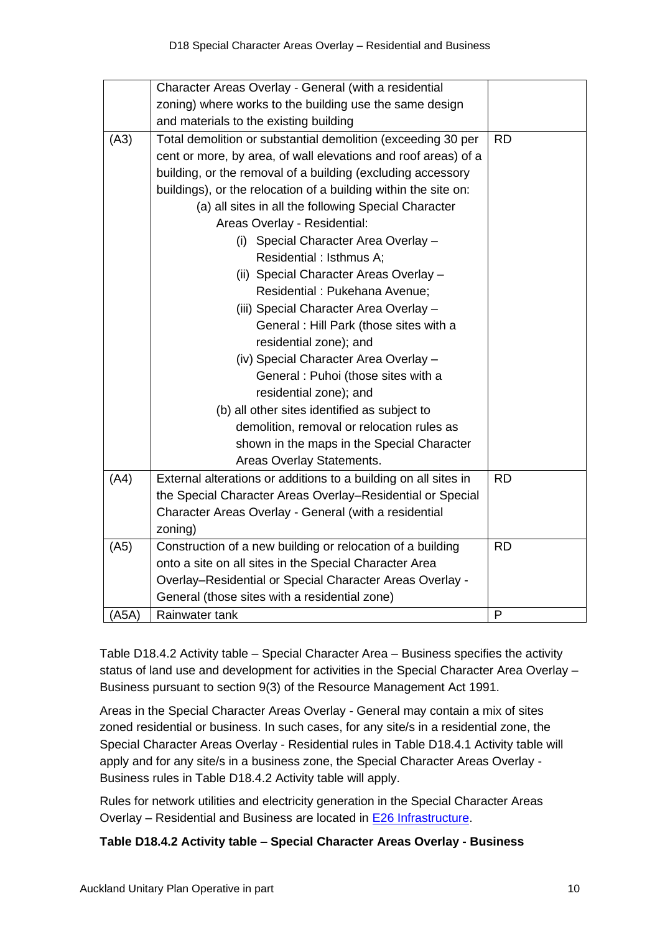|       | Character Areas Overlay - General (with a residential           |           |
|-------|-----------------------------------------------------------------|-----------|
|       | zoning) where works to the building use the same design         |           |
|       | and materials to the existing building                          |           |
| (A3)  | Total demolition or substantial demolition (exceeding 30 per    | <b>RD</b> |
|       | cent or more, by area, of wall elevations and roof areas) of a  |           |
|       | building, or the removal of a building (excluding accessory     |           |
|       | buildings), or the relocation of a building within the site on: |           |
|       | (a) all sites in all the following Special Character            |           |
|       | Areas Overlay - Residential:                                    |           |
|       | (i) Special Character Area Overlay -                            |           |
|       | Residential : Isthmus A;                                        |           |
|       | (ii) Special Character Areas Overlay -                          |           |
|       | Residential: Pukehana Avenue;                                   |           |
|       | (iii) Special Character Area Overlay -                          |           |
|       | General : Hill Park (those sites with a                         |           |
|       | residential zone); and                                          |           |
|       | (iv) Special Character Area Overlay -                           |           |
|       | General : Puhoi (those sites with a                             |           |
|       | residential zone); and                                          |           |
|       | (b) all other sites identified as subject to                    |           |
|       | demolition, removal or relocation rules as                      |           |
|       | shown in the maps in the Special Character                      |           |
|       | Areas Overlay Statements.                                       |           |
| (A4)  | External alterations or additions to a building on all sites in | <b>RD</b> |
|       | the Special Character Areas Overlay-Residential or Special      |           |
|       | Character Areas Overlay - General (with a residential           |           |
|       | zoning)                                                         |           |
| (A5)  | Construction of a new building or relocation of a building      | <b>RD</b> |
|       | onto a site on all sites in the Special Character Area          |           |
|       | Overlay-Residential or Special Character Areas Overlay -        |           |
|       | General (those sites with a residential zone)                   |           |
| (A5A) | Rainwater tank                                                  | P         |

Table D18.4.2 Activity table – Special Character Area – Business specifies the activity status of land use and development for activities in the Special Character Area Overlay – Business pursuant to section 9(3) of the Resource Management Act 1991.

Areas in the Special Character Areas Overlay - General may contain a mix of sites zoned residential or business. In such cases, for any site/s in a residential zone, the Special Character Areas Overlay - Residential rules in Table D18.4.1 Activity table will apply and for any site/s in a business zone, the Special Character Areas Overlay - Business rules in Table D18.4.2 Activity table will apply.

Rules for network utilities and electricity generation in the Special Character Areas Overlay – Residential and Business are located in [E26 Infrastructure.](http://unitaryplan.aucklandcouncil.govt.nz/Images/Auckland%20Unitary%20Plan%20Operative/Chapter%20E%20Auckland-wide/4.%20Infrastructure/E26%20Infrastructure.pdf)

# **Table D18.4.2 Activity table – Special Character Areas Overlay - Business**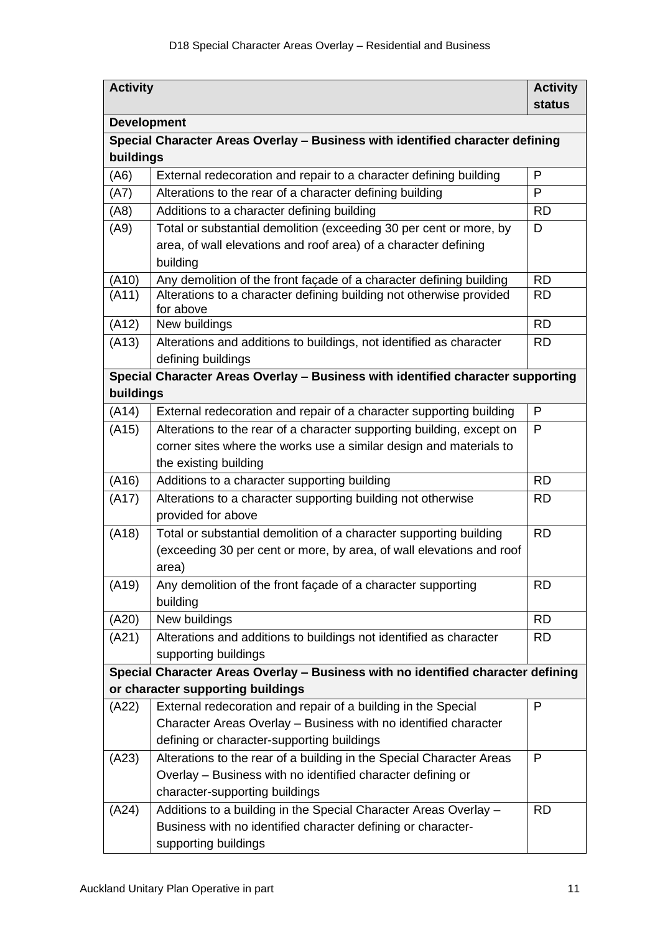| <b>Activity</b>    |                                                                                           | <b>Activity</b> |
|--------------------|-------------------------------------------------------------------------------------------|-----------------|
|                    |                                                                                           | <b>status</b>   |
| <b>Development</b> |                                                                                           |                 |
|                    | Special Character Areas Overlay - Business with identified character defining             |                 |
| buildings          |                                                                                           |                 |
| (A6)               | External redecoration and repair to a character defining building                         | P               |
| (A7)               | Alterations to the rear of a character defining building                                  | P               |
| (A8)               | Additions to a character defining building                                                | <b>RD</b>       |
| (A9)               | Total or substantial demolition (exceeding 30 per cent or more, by                        | D               |
|                    | area, of wall elevations and roof area) of a character defining                           |                 |
|                    | building                                                                                  |                 |
| (A10)              | Any demolition of the front façade of a character defining building                       | <b>RD</b>       |
| (A11)              | Alterations to a character defining building not otherwise provided<br>for above          | <b>RD</b>       |
| (A12)              | New buildings                                                                             | <b>RD</b>       |
| (A13)              | Alterations and additions to buildings, not identified as character<br>defining buildings | <b>RD</b>       |
|                    | Special Character Areas Overlay - Business with identified character supporting           |                 |
| buildings          |                                                                                           |                 |
| (A14)              | External redecoration and repair of a character supporting building                       | P               |
| (A15)              | Alterations to the rear of a character supporting building, except on                     | P               |
|                    | corner sites where the works use a similar design and materials to                        |                 |
|                    | the existing building                                                                     |                 |
| (A16)              | Additions to a character supporting building                                              | <b>RD</b>       |
| (A17)              | Alterations to a character supporting building not otherwise                              | <b>RD</b>       |
|                    | provided for above                                                                        |                 |
| (A18)              | Total or substantial demolition of a character supporting building                        | <b>RD</b>       |
|                    | (exceeding 30 per cent or more, by area, of wall elevations and roof                      |                 |
|                    | area)                                                                                     |                 |
| (A19)              | Any demolition of the front façade of a character supporting                              | <b>RD</b>       |
|                    | building                                                                                  |                 |
| (A20)              | New buildings                                                                             | <b>RD</b>       |
| (A21)              | Alterations and additions to buildings not identified as character                        | <b>RD</b>       |
|                    | supporting buildings                                                                      |                 |
|                    | Special Character Areas Overlay - Business with no identified character defining          |                 |
|                    | or character supporting buildings                                                         |                 |
| (A22)              | External redecoration and repair of a building in the Special                             | P               |
|                    | Character Areas Overlay - Business with no identified character                           |                 |
|                    | defining or character-supporting buildings                                                |                 |
| (A23)              | Alterations to the rear of a building in the Special Character Areas                      | P               |
|                    | Overlay - Business with no identified character defining or                               |                 |
|                    | character-supporting buildings                                                            |                 |
| (A24)              | Additions to a building in the Special Character Areas Overlay -                          | <b>RD</b>       |
|                    | Business with no identified character defining or character-<br>supporting buildings      |                 |
|                    |                                                                                           |                 |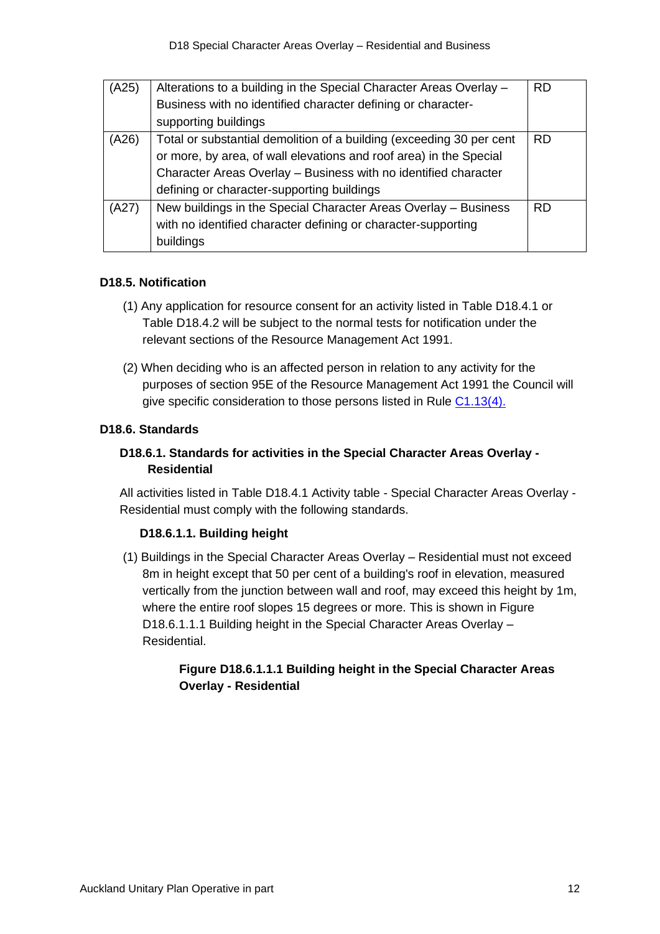| (A25) | Alterations to a building in the Special Character Areas Overlay -   | <b>RD</b> |
|-------|----------------------------------------------------------------------|-----------|
|       | Business with no identified character defining or character-         |           |
|       | supporting buildings                                                 |           |
| (A26) | Total or substantial demolition of a building (exceeding 30 per cent | <b>RD</b> |
|       | or more, by area, of wall elevations and roof area) in the Special   |           |
|       | Character Areas Overlay - Business with no identified character      |           |
|       | defining or character-supporting buildings                           |           |
| (A27) | New buildings in the Special Character Areas Overlay - Business      | <b>RD</b> |
|       | with no identified character defining or character-supporting        |           |
|       | buildings                                                            |           |

## **D18.5. Notification**

- (1) Any application for resource consent for an activity listed in Table D18.4.1 or Table D18.4.2 will be subject to the normal tests for notification under the relevant sections of the Resource Management Act 1991.
- (2) When deciding who is an affected person in relation to any activity for the purposes of section 95E of the Resource Management Act 1991 the Council will give specific consideration to those persons listed in Rule [C1.13\(4\).](http://unitaryplan.aucklandcouncil.govt.nz/Images/Auckland%20Unitary%20Plan%20Operative/Chapter%20C%20General%20Rules/C%20General%20rules.pdf)

## **D18.6. Standards**

# **D18.6.1. Standards for activities in the Special Character Areas Overlay - Residential**

All activities listed in Table D18.4.1 Activity table - Special Character Areas Overlay - Residential must comply with the following standards.

## **D18.6.1.1. Building height**

(1) Buildings in the Special Character Areas Overlay – Residential must not exceed 8m in height except that 50 per cent of a building's roof in elevation, measured vertically from the junction between wall and roof, may exceed this height by 1m, where the entire roof slopes 15 degrees or more. This is shown in Figure D18.6.1.1.1 Building height in the Special Character Areas Overlay – Residential.

## **Figure D18.6.1.1.1 Building height in the Special Character Areas Overlay - Residential**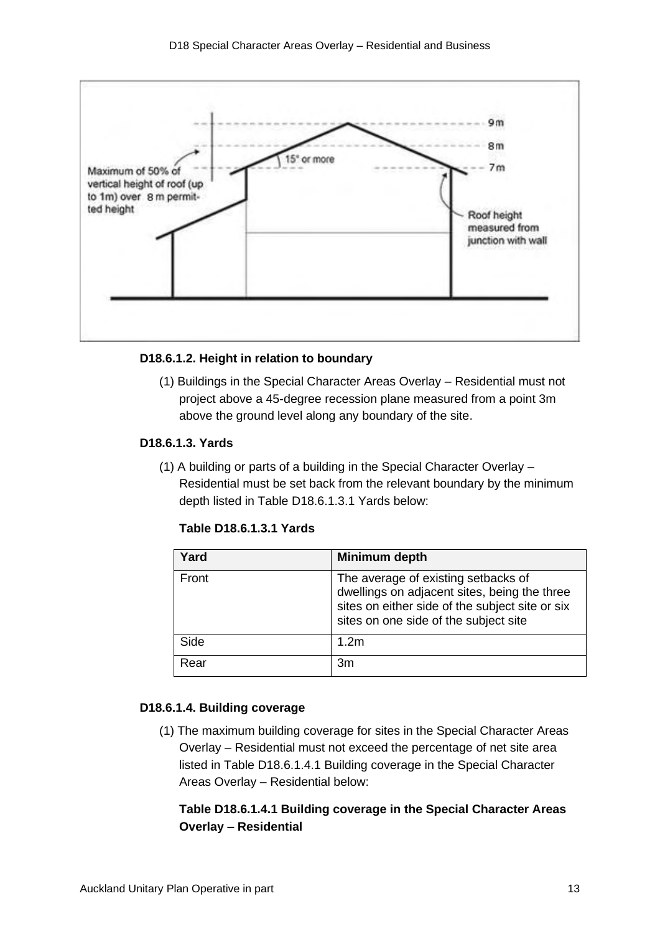

### **D18.6.1.2. Height in relation to boundary**

(1) Buildings in the Special Character Areas Overlay – Residential must not project above a 45-degree recession plane measured from a point 3m above the ground level along any boundary of the site.

### **D18.6.1.3. Yards**

(1) A building or parts of a building in the Special Character Overlay – Residential must be set back from the relevant boundary by the minimum depth listed in Table D18.6.1.3.1 Yards below:

| Table D18.6.1.3.1 Yards |  |  |  |  |
|-------------------------|--|--|--|--|
|-------------------------|--|--|--|--|

| Yard  | Minimum depth                                                                                                                                                                   |
|-------|---------------------------------------------------------------------------------------------------------------------------------------------------------------------------------|
| Front | The average of existing setbacks of<br>dwellings on adjacent sites, being the three<br>sites on either side of the subject site or six<br>sites on one side of the subject site |
| Side  | 1.2 <sub>m</sub>                                                                                                                                                                |
| Rear  | 3m                                                                                                                                                                              |

### **D18.6.1.4. Building coverage**

(1) The maximum building coverage for sites in the Special Character Areas Overlay – Residential must not exceed the percentage of net site area listed in Table D18.6.1.4.1 Building coverage in the Special Character Areas Overlay – Residential below:

## **Table D18.6.1.4.1 Building coverage in the Special Character Areas Overlay – Residential**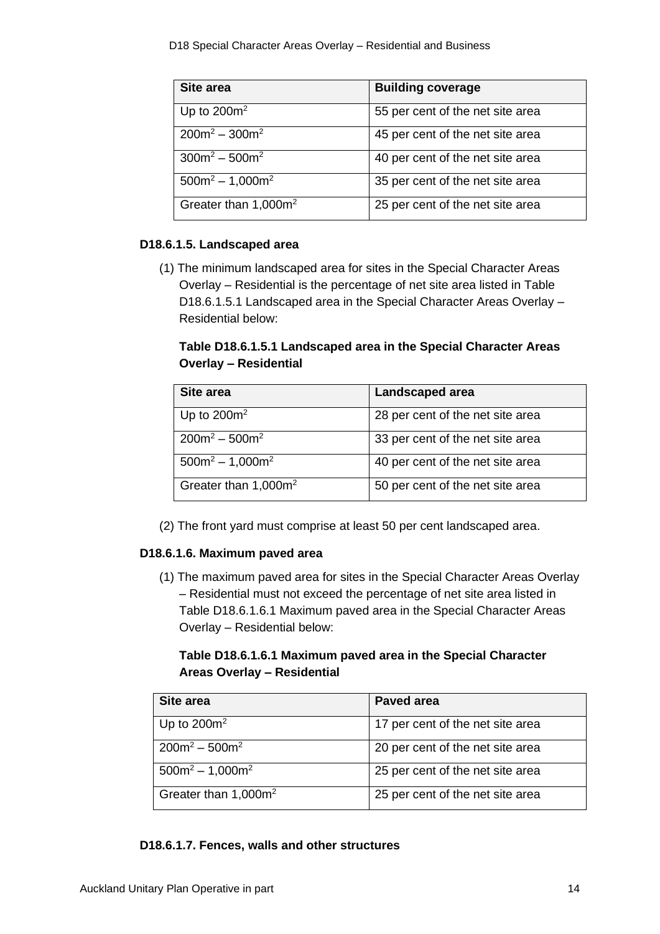| <b>Site area</b>        | <b>Building coverage</b>         |
|-------------------------|----------------------------------|
| Up to $200m^2$          | 55 per cent of the net site area |
| $200m^2 - 300m^2$       | 45 per cent of the net site area |
| $300m^2 - 500m^2$       | 40 per cent of the net site area |
| $500m^2 - 1,000m^2$     | 35 per cent of the net site area |
| Greater than $1,000m^2$ | 25 per cent of the net site area |

## **D18.6.1.5. Landscaped area**

(1) The minimum landscaped area for sites in the Special Character Areas Overlay – Residential is the percentage of net site area listed in Table D18.6.1.5.1 Landscaped area in the Special Character Areas Overlay – Residential below:

# **Table D18.6.1.5.1 Landscaped area in the Special Character Areas Overlay – Residential**

| Site area                        | Landscaped area                  |
|----------------------------------|----------------------------------|
| Up to $200m^2$                   | 28 per cent of the net site area |
| $200m^2 - 500m^2$                | 33 per cent of the net site area |
| $500m^2 - 1,000m^2$              | 40 per cent of the net site area |
| Greater than 1,000m <sup>2</sup> | 50 per cent of the net site area |

(2) The front [yard](http://unitaryplan.aucklandcouncil.govt.nz/Pages/Plan/Book.aspx?exhibit=PAUPSept13) must comprise at least 50 per cent [landscaped area.](http://unitaryplan.aucklandcouncil.govt.nz/Pages/Plan/Book.aspx?exhibit=PAUPSept13)

## **D18.6.1.6. Maximum paved area**

(1) The maximum paved area for sites in the Special Character Areas Overlay – Residential must not exceed the percentage of net site area listed in Table D18.6.1.6.1 Maximum paved area in the Special Character Areas Overlay – Residential below:

# **Table D18.6.1.6.1 Maximum paved area in the Special Character Areas Overlay – Residential**

| Site area               | <b>Paved area</b>                |
|-------------------------|----------------------------------|
| Up to $200m^2$          | 17 per cent of the net site area |
| $200m^2 - 500m^2$       | 20 per cent of the net site area |
| $500m^2 - 1,000m^2$     | 25 per cent of the net site area |
| Greater than $1,000m^2$ | 25 per cent of the net site area |

## **D18.6.1.7. Fences, walls and other structures**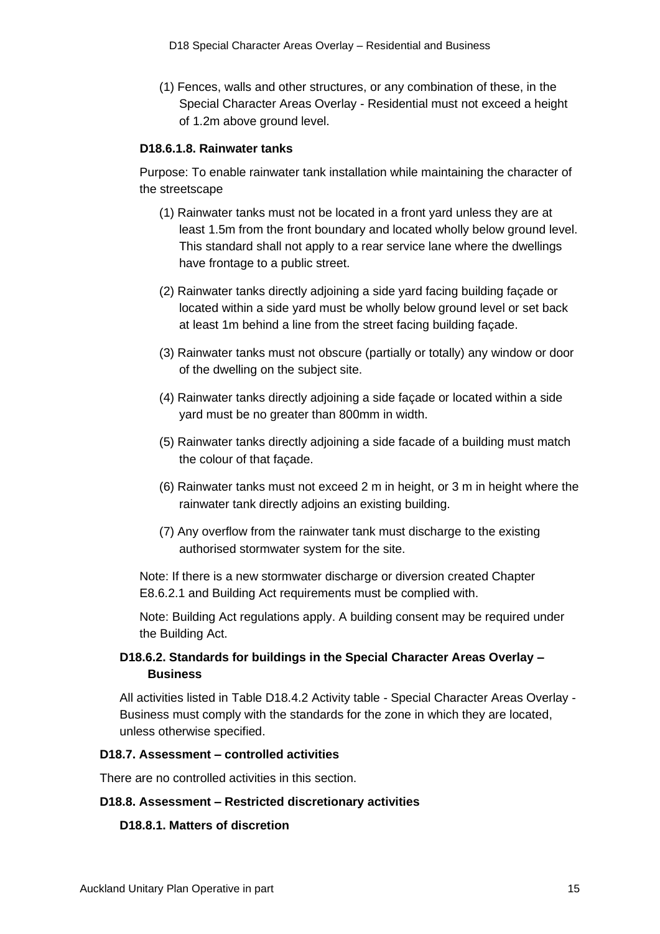(1) Fences, walls and other structures, or any combination of these, in the Special Character Areas Overlay - Residential must not exceed a height of 1.2m above ground level.

#### **D18.6.1.8. Rainwater tanks**

Purpose: To enable rainwater tank installation while maintaining the character of the streetscape

- (1) Rainwater tanks must not be located in a front yard unless they are at least 1.5m from the front boundary and located wholly below ground level. This standard shall not apply to a rear service lane where the dwellings have frontage to a public street.
- (2) Rainwater tanks directly adjoining a side yard facing building façade or located within a side yard must be wholly below ground level or set back at least 1m behind a line from the street facing building façade.
- (3) Rainwater tanks must not obscure (partially or totally) any window or door of the dwelling on the subject site.
- (4) Rainwater tanks directly adjoining a side façade or located within a side yard must be no greater than 800mm in width.
- (5) Rainwater tanks directly adjoining a side facade of a building must match the colour of that façade.
- (6) Rainwater tanks must not exceed 2 m in height, or 3 m in height where the rainwater tank directly adjoins an existing building.
- (7) Any overflow from the rainwater tank must discharge to the existing authorised stormwater system for the site.

Note: If there is a new stormwater discharge or diversion created Chapter E8.6.2.1 and Building Act requirements must be complied with.

Note: Building Act regulations apply. A building consent may be required under the Building Act.

## **D18.6.2. Standards for buildings in the Special Character Areas Overlay – Business**

All activities listed in Table D18.4.2 Activity table - Special Character Areas Overlay - Business must comply with the standards for the zone in which they are located, unless otherwise specified.

### **D18.7. Assessment – controlled activities**

There are no controlled activities in this section.

#### **D18.8. Assessment – Restricted discretionary activities**

#### **D18.8.1. Matters of discretion**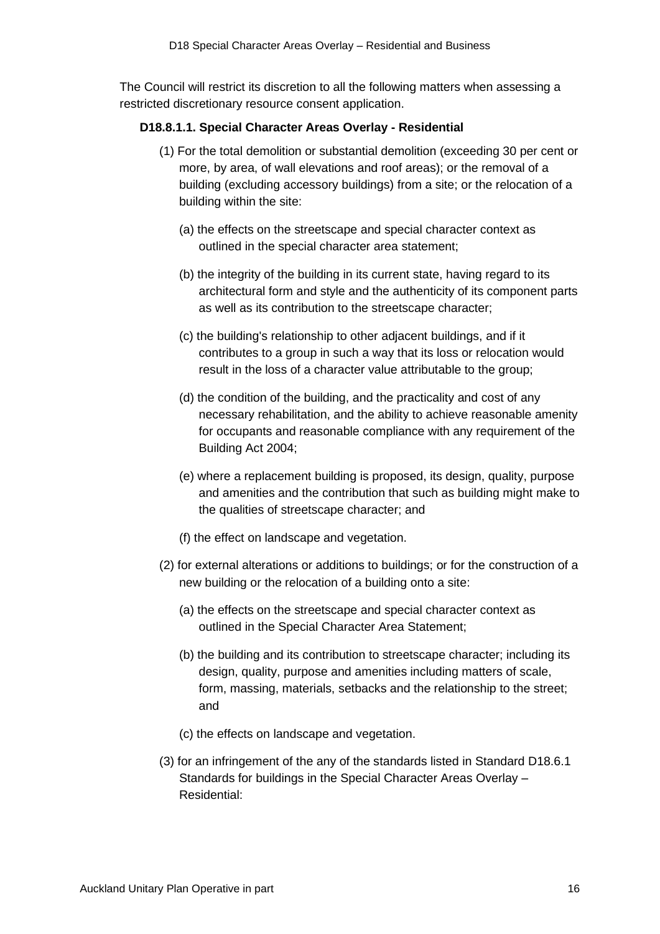The Council will restrict its discretion to all the following matters when assessing a restricted discretionary resource consent application.

### **D18.8.1.1. Special Character Areas Overlay - Residential**

- (1) For the total demolition or substantial demolition (exceeding 30 per cent or more, by area, of wall elevations and roof areas); or the removal of a building (excluding accessory buildings) from a site; or the relocation of a building within the site:
	- (a) the effects on the streetscape and special character context as outlined in the special character area statement;
	- (b) the integrity of the building in its current state, having regard to its architectural form and style and the authenticity of its component parts as well as its contribution to the streetscape character;
	- (c) the building's relationship to other adjacent [buildings,](http://unitaryplan.aucklandcouncil.govt.nz/Pages/Plan/Book.aspx?exhibit=PAUPSept13) and if it contributes to a group in such a way that its loss or relocation would result in the loss of a character value attributable to the group;
	- (d) the condition of the building, and the practicality and cost of any necessary rehabilitation, and the ability to achieve reasonable amenity for occupants and reasonable compliance with any requirement of the Building Act 2004;
	- (e) where a replacement building is proposed, its design, quality, purpose and amenities and the contribution that such as building might make to the qualities of streetscape character; and
	- (f) the effect on landscape and vegetation.
- (2) for external alterations or additions to buildings; or for the construction of a new building or the relocation of a building onto a site:
	- (a) the effects on the streetscape and special character context as outlined in the Special Character Area Statement;
	- (b) the building and its contribution to streetscape character; including its design, quality, purpose and amenities including matters of scale, form, massing, materials, setbacks and the relationship to the street; and
	- (c) the effects on landscape and vegetation.
- (3) for an infringement of the any of the standards listed in Standard D18.6.1 Standards for buildings in the Special Character Areas Overlay – Residential: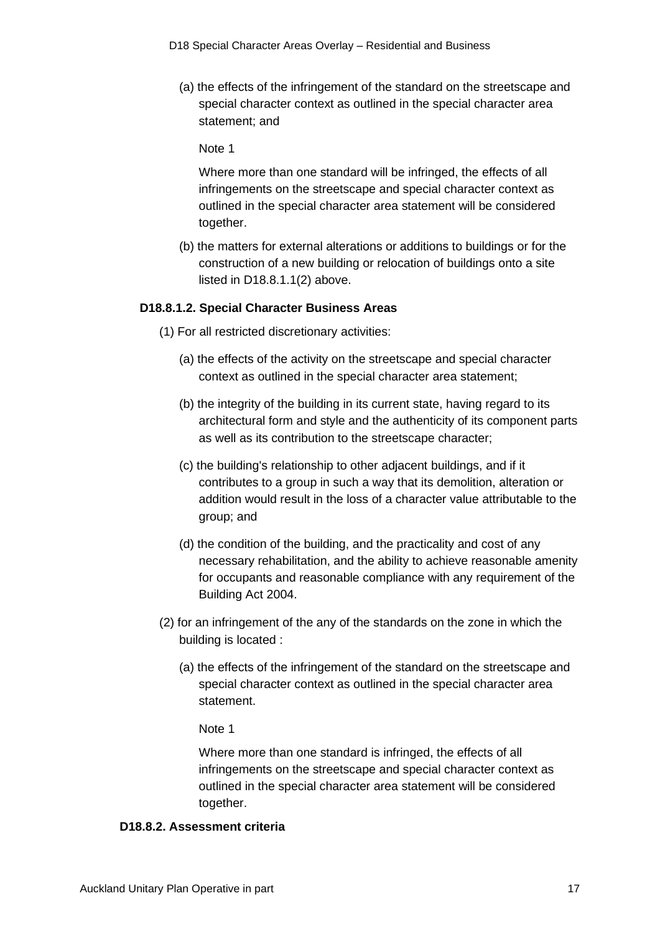(a) the effects of the infringement of the standard on the streetscape and special character context as outlined in the special character area statement; and

Note 1

Where more than one standard will be infringed, the effects of all infringements on the streetscape and special character context as outlined in the special character area statement will be considered together.

(b) the matters for external alterations or additions to buildings or for the construction of a new building or relocation of buildings onto a site listed in D18.8.1.1(2) above.

#### **D18.8.1.2. Special Character Business Areas**

- (1) For all restricted discretionary activities:
	- (a) the effects of the activity on the streetscape and special character context as outlined in the special character area statement;
	- (b) the integrity of the building in its current state, having regard to its architectural form and style and the authenticity of its component parts as well as its contribution to the streetscape character;
	- (c) the building's relationship to other adjacent [buildings,](http://unitaryplan.aucklandcouncil.govt.nz/Pages/Plan/Book.aspx?exhibit=PAUPSept13) and if it contributes to a group in such a way that its demolition, alteration or addition would result in the loss of a character value attributable to the group; and
	- (d) the condition of the building, and the practicality and cost of any necessary rehabilitation, and the ability to achieve reasonable amenity for occupants and reasonable compliance with any requirement of the Building Act 2004.
- (2) for an infringement of the any of the standards on the zone in which the building is located :
	- (a) the effects of the infringement of the standard on the streetscape and special character context as outlined in the special character area statement.

#### Note 1

Where more than one standard is infringed, the effects of all infringements on the streetscape and special character context as outlined in the special character area statement will be considered together.

#### **D18.8.2. Assessment criteria**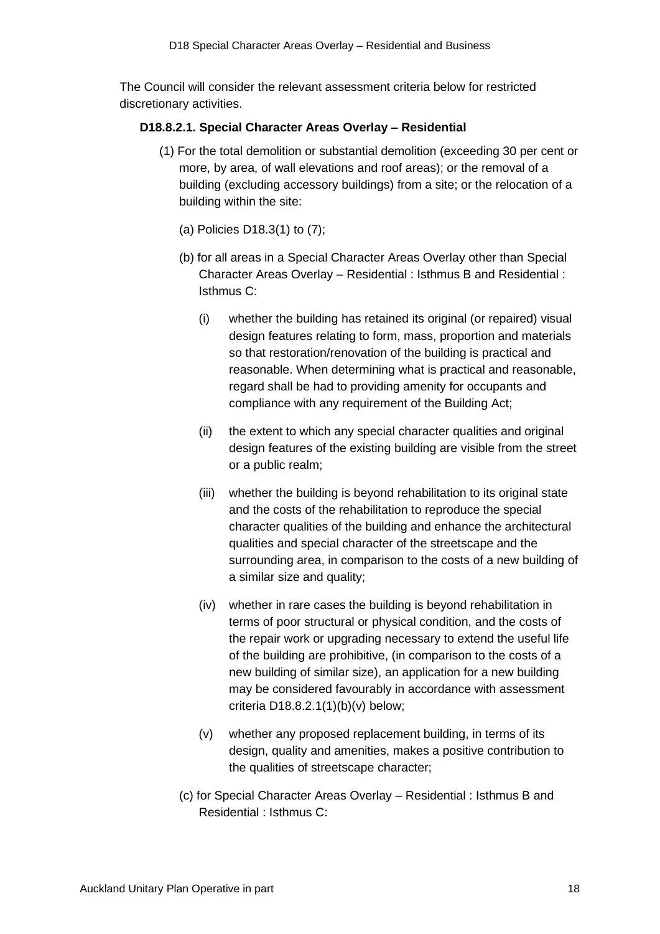The Council will consider the relevant assessment criteria below for restricted discretionary activities.

### **D18.8.2.1. Special Character Areas Overlay – Residential**

- (1) For the total demolition or substantial demolition (exceeding 30 per cent or more, by area, of wall elevations and roof areas); or the removal of a building (excluding accessory buildings) from a site; or the relocation of a building within the site:
	- (a) Policies D18.3(1) to (7);
	- (b) for all areas in a Special Character Areas Overlay other than Special Character Areas Overlay – Residential : Isthmus B and Residential : Isthmus C:
		- (i) whether the building has retained its original (or repaired) visual design features relating to form, mass, proportion and materials so that restoration/renovation of the building is practical and reasonable. When determining what is practical and reasonable, regard shall be had to providing amenity for occupants and compliance with any requirement of the Building Act;
		- (ii) the extent to which any special character qualities and original design features of the existing building are visible from the street or a public realm;
		- (iii) whether the building is beyond rehabilitation to its original state and the costs of the rehabilitation to reproduce the special character qualities of the building and enhance the architectural qualities and special character of the streetscape and the surrounding area, in comparison to the costs of a new building of a similar size and quality;
		- (iv) whether in rare cases the building is beyond rehabilitation in terms of poor structural or physical condition, and the costs of the repair work or upgrading necessary to extend the useful life of the building are prohibitive, (in comparison to the costs of a new building of similar size), an application for a new building may be considered favourably in accordance with assessment criteria D18.8.2.1(1)(b)(v) below;
		- (v) whether any proposed replacement building, in terms of its design, quality and amenities, makes a positive contribution to the qualities of streetscape character;
	- (c) for Special Character Areas Overlay Residential : Isthmus B and Residential : Isthmus C: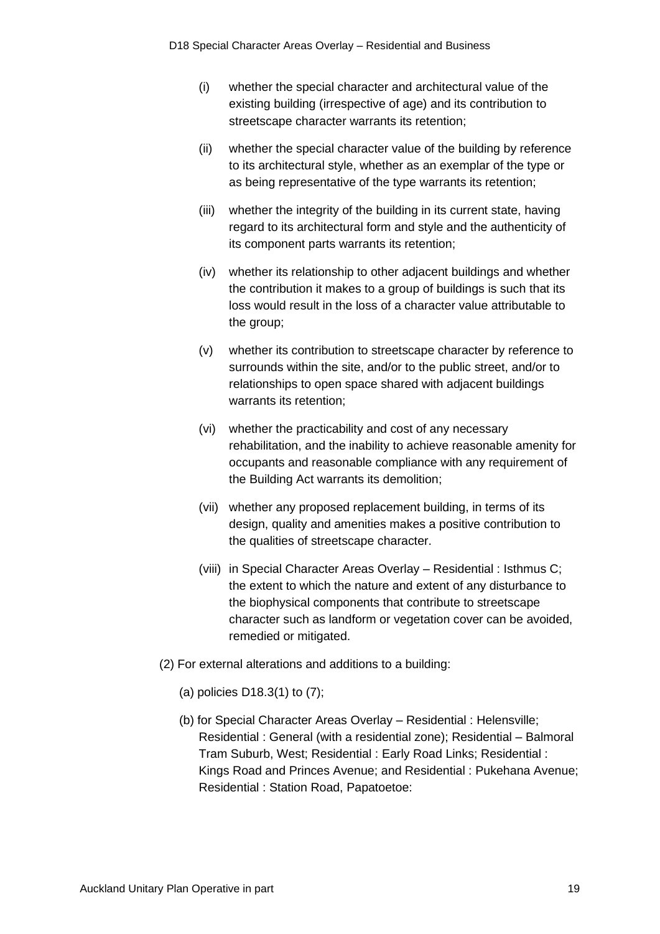- (i) whether the special character and architectural value of the existing building (irrespective of age) and its contribution to streetscape character warrants its retention;
- (ii) whether the special character value of the building by reference to its architectural style, whether as an exemplar of the type or as being representative of the type warrants its retention;
- (iii) whether the integrity of the building in its current state, having regard to its architectural form and style and the authenticity of its component parts warrants its retention;
- (iv) whether its relationship to other adjacent buildings and whether the contribution it makes to a group of buildings is such that its loss would result in the loss of a character value attributable to the group;
- (v) whether its contribution to streetscape character by reference to surrounds within the site, and/or to the public street, and/or to relationships to open space shared with adjacent buildings warrants its retention;
- (vi) whether the practicability and cost of any necessary rehabilitation, and the inability to achieve reasonable amenity for occupants and reasonable compliance with any requirement of the Building Act warrants its demolition;
- (vii) whether any proposed replacement building, in terms of its design, quality and amenities makes a positive contribution to the qualities of streetscape character.
- (viii) in Special Character Areas Overlay Residential : Isthmus C; the extent to which the nature and extent of any disturbance to the biophysical components that contribute to streetscape character such as landform or vegetation cover can be avoided, remedied or mitigated.
- (2) For external alterations and additions to a building:
	- (a) policies D18.3(1) to (7);
	- (b) for Special Character Areas Overlay Residential : Helensville; Residential : General (with a residential zone); Residential – Balmoral Tram Suburb, West; Residential : Early Road Links; Residential : Kings Road and Princes Avenue; and Residential : Pukehana Avenue; Residential : Station Road, Papatoetoe: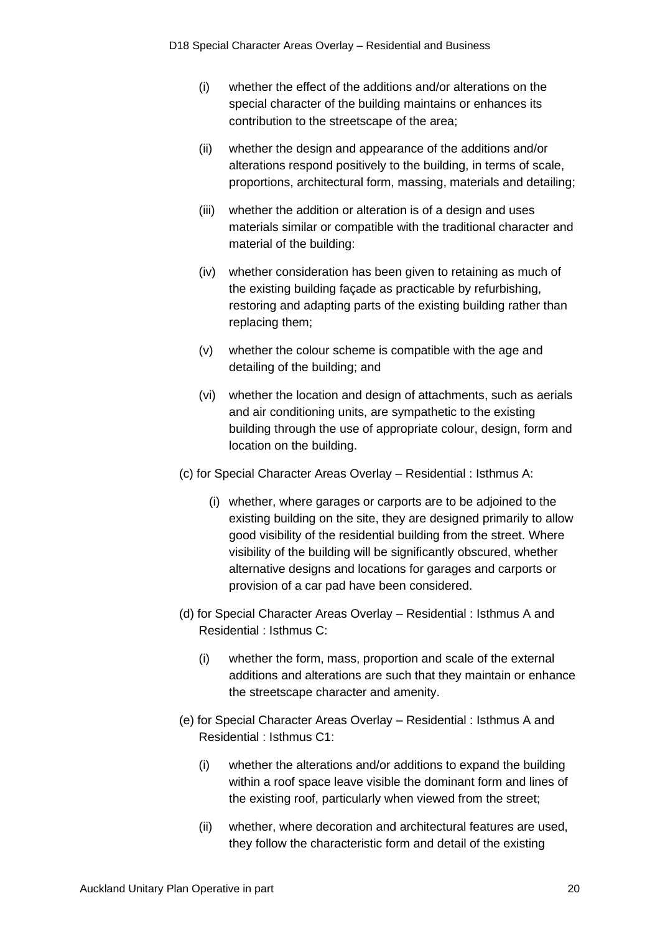- (i) whether the effect of the additions and/or alterations on the special character of the building maintains or enhances its contribution to the streetscape of the area;
- (ii) whether the design and appearance of the additions and/or alterations respond positively to the building, in terms of scale, proportions, architectural form, massing, materials and detailing;
- (iii) whether the addition or alteration is of a design and uses materials similar or compatible with the traditional character and material of the building:
- (iv) whether consideration has been given to retaining as much of the existing building façade as practicable by refurbishing, restoring and adapting parts of the existing building rather than replacing them;
- (v) whether the colour scheme is compatible with the age and detailing of the building; and
- (vi) whether the location and design of attachments, such as aerials and air conditioning units, are sympathetic to the existing building through the use of appropriate colour, design, form and location on the building.
- (c) for Special Character Areas Overlay Residential : Isthmus A:
	- (i) whether, where garages or carports are to be adjoined to the existing building on the site, they are designed primarily to allow good visibility of the residential building from the street. Where visibility of the building will be significantly obscured, whether alternative designs and locations for garages and carports or provision of a car pad have been considered.
- (d) for Special Character Areas Overlay Residential : Isthmus A and Residential : Isthmus C:
	- (i) whether the form, mass, proportion and scale of the external additions and alterations are such that they maintain or enhance the streetscape character and amenity.
- (e) for Special Character Areas Overlay Residential : Isthmus A and Residential : Isthmus C1:
	- (i) whether the alterations and/or additions to expand the building within a roof space leave visible the dominant form and lines of the existing roof, particularly when viewed from the street;
	- (ii) whether, where decoration and architectural features are used, they follow the characteristic form and detail of the existing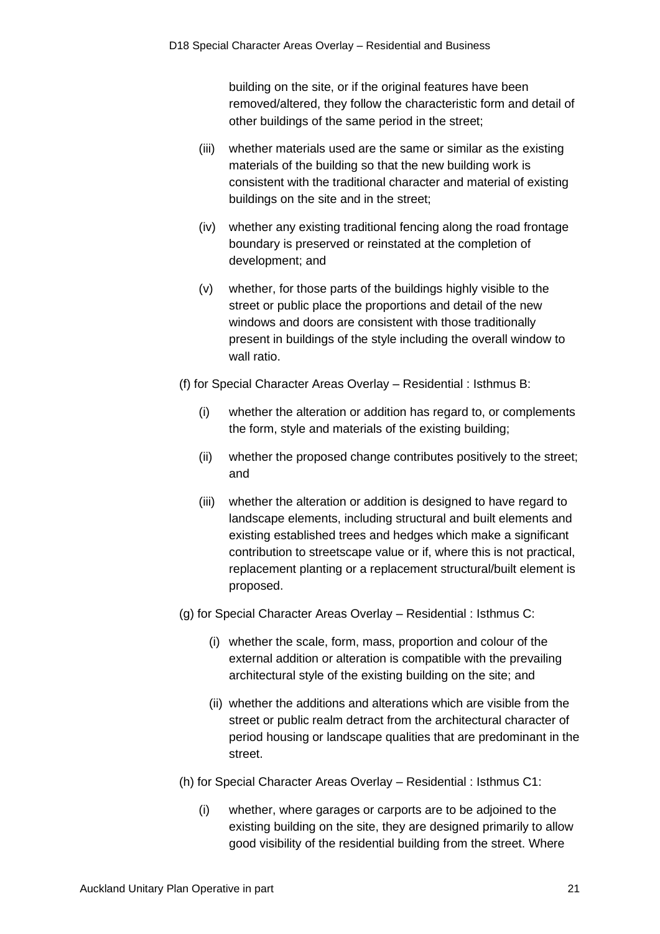building on the site, or if the original features have been removed/altered, they follow the characteristic form and detail of other buildings of the same period in the street;

- (iii) whether materials used are the same or similar as the existing materials of the building so that the new building work is consistent with the traditional character and material of existing buildings on the site and in the street;
- (iv) whether any existing traditional fencing along the road frontage boundary is preserved or reinstated at the completion of development; and
- (v) whether, for those parts of the buildings highly visible to the street or public place the proportions and detail of the new windows and doors are consistent with those traditionally present in buildings of the style including the overall window to wall ratio.

(f) for Special Character Areas Overlay – Residential : Isthmus B:

- (i) whether the alteration or addition has regard to, or complements the form, style and materials of the existing building;
- (ii) whether the proposed change contributes positively to the street; and
- (iii) whether the alteration or addition is designed to have regard to landscape elements, including structural and built elements and existing established trees and hedges which make a significant contribution to streetscape value or if, where this is not practical, replacement planting or a replacement structural/built element is proposed.
- (g) for Special Character Areas Overlay Residential : Isthmus C:
	- (i) whether the scale, form, mass, proportion and colour of the external addition or alteration is compatible with the prevailing architectural style of the existing building on the site; and
	- (ii) whether the additions and alterations which are visible from the street or public realm detract from the architectural character of period housing or landscape qualities that are predominant in the street.
- (h) for Special Character Areas Overlay Residential : Isthmus C1:
	- (i) whether, where garages or carports are to be adjoined to the existing building on the site, they are designed primarily to allow good visibility of the residential building from the street. Where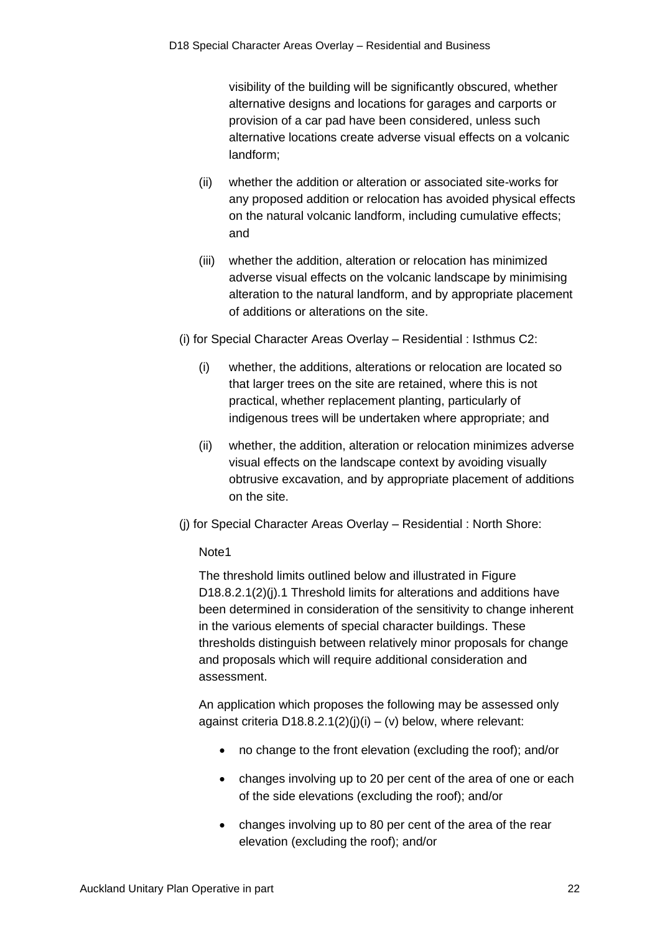visibility of the building will be significantly obscured, whether alternative designs and locations for garages and carports or provision of a car pad have been considered, unless such alternative locations create adverse visual effects on a volcanic landform;

- (ii) whether the addition or alteration or associated site-works for any proposed addition or relocation has avoided physical effects on the natural volcanic landform, including cumulative effects; and
- (iii) whether the addition, alteration or relocation has minimized adverse visual effects on the volcanic landscape by minimising alteration to the natural landform, and by appropriate placement of additions or alterations on the site.
- (i) for Special Character Areas Overlay Residential : Isthmus C2:
	- (i) whether, the additions, alterations or relocation are located so that larger trees on the site are retained, where this is not practical, whether replacement planting, particularly of indigenous trees will be undertaken where appropriate; and
	- (ii) whether, the addition, alteration or relocation minimizes adverse visual effects on the landscape context by avoiding visually obtrusive excavation, and by appropriate placement of additions on the site.
- (j) for Special Character Areas Overlay Residential : North Shore:

### Note1

The threshold limits outlined below and illustrated in Figure D18.8.2.1(2)(i).1 Threshold limits for alterations and additions have been determined in consideration of the sensitivity to change inherent in the various elements of special character buildings. These thresholds distinguish between relatively minor proposals for change and proposals which will require additional consideration and assessment.

An application which proposes the following may be assessed only against criteria D18.8.2.1(2)(j)(i) – (v) below, where relevant:

- no change to the front elevation (excluding the roof); and/or
- changes involving up to 20 per cent of the area of one or each of the side elevations (excluding the roof); and/or
- changes involving up to 80 per cent of the area of the rear elevation (excluding the roof); and/or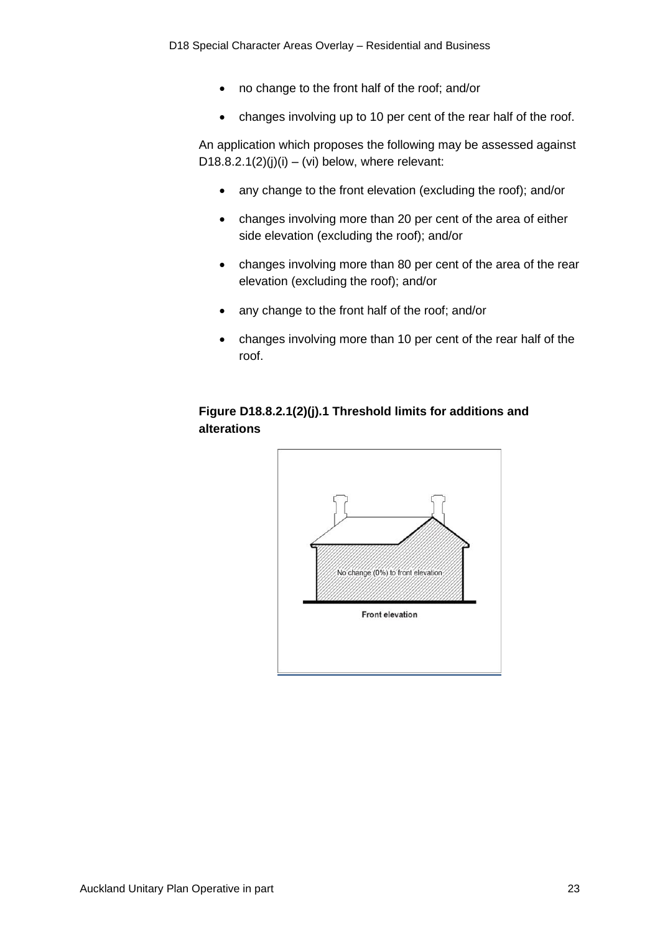- no change to the front half of the roof; and/or
- changes involving up to 10 per cent of the rear half of the roof.

An application which proposes the following may be assessed against D18.8.2.1(2)(j)(i) – (vi) below, where relevant:

- any change to the front elevation (excluding the roof); and/or
- changes involving more than 20 per cent of the area of either side elevation (excluding the roof); and/or
- changes involving more than 80 per cent of the area of the rear elevation (excluding the roof); and/or
- any change to the front half of the roof; and/or
- changes involving more than 10 per cent of the rear half of the roof.

## **Figure D18.8.2.1(2)(j).1 Threshold limits for additions and alterations**

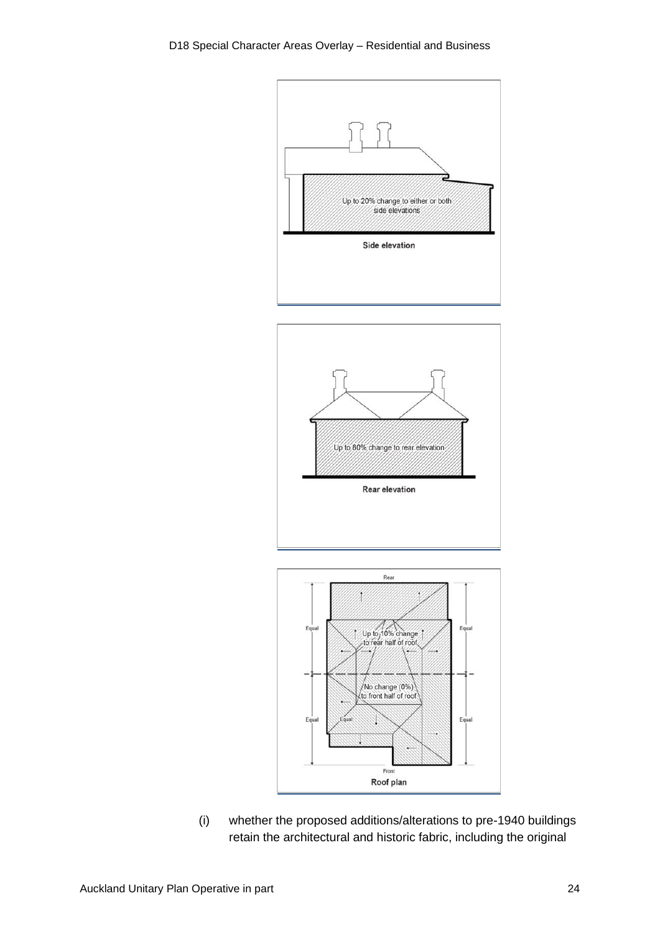





(i) whether the proposed additions/alterations to pre-1940 buildings retain the architectural and historic fabric, including the original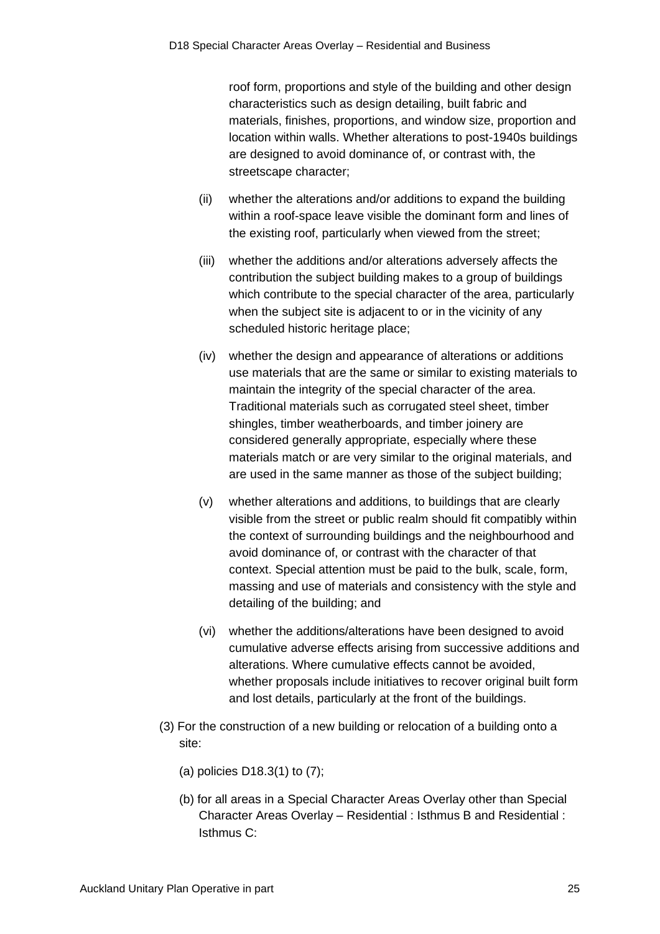roof form, proportions and style of the building and other design characteristics such as design detailing, built fabric and materials, finishes, proportions, and window size, proportion and location within walls. Whether alterations to post-1940s buildings are designed to avoid dominance of, or contrast with, the streetscape character;

- (ii) whether the alterations and/or additions to expand the building within a roof-space leave visible the dominant form and lines of the existing roof, particularly when viewed from the street;
- (iii) whether the additions and/or alterations adversely affects the contribution the subject building makes to a group of buildings which contribute to the special character of the area, particularly when the subject site is adjacent to or in the vicinity of any scheduled historic heritage place;
- (iv) whether the design and appearance of alterations or additions use materials that are the same or similar to existing materials to maintain the integrity of the special character of the area. Traditional materials such as corrugated steel sheet, timber shingles, timber weatherboards, and timber joinery are considered generally appropriate, especially where these materials match or are very similar to the original materials, and are used in the same manner as those of the subject building;
- (v) whether alterations and additions, to buildings that are clearly visible from the street or public realm should fit compatibly within the context of surrounding buildings and the neighbourhood and avoid dominance of, or contrast with the character of that context. Special attention must be paid to the bulk, scale, form, massing and use of materials and consistency with the style and detailing of the building; and
- (vi) whether the additions/alterations have been designed to avoid cumulative adverse effects arising from successive additions and alterations. Where cumulative effects cannot be avoided, whether proposals include initiatives to recover original built form and lost details, particularly at the front of the buildings.
- (3) For the construction of a new building or relocation of a building onto a site:
	- (a) policies D18.3(1) to (7);
	- (b) for all areas in a Special Character Areas Overlay other than Special Character Areas Overlay – Residential : Isthmus B and Residential : Isthmus C: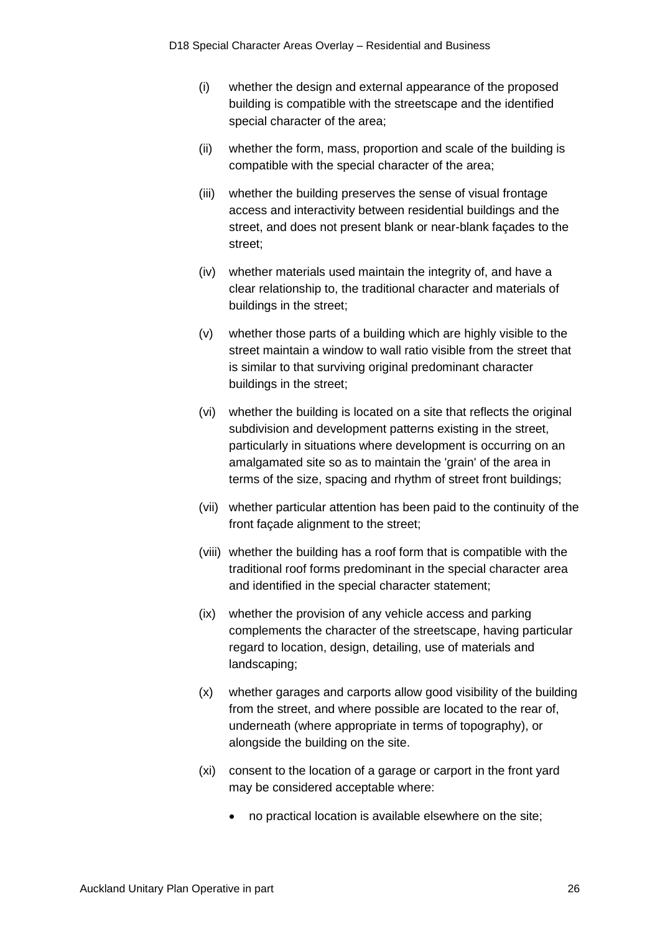- (i) whether the design and external appearance of the proposed building is compatible with the streetscape and the identified special character of the area;
- (ii) whether the form, mass, proportion and scale of the building is compatible with the special character of the area;
- (iii) whether the building preserves the sense of visual frontage access and interactivity between residential buildings and the street, and does not present blank or near-blank façades to the street;
- (iv) whether materials used maintain the integrity of, and have a clear relationship to, the traditional character and materials of buildings in the street;
- (v) whether those parts of a building which are highly visible to the street maintain a window to wall ratio visible from the street that is similar to that surviving original predominant character buildings in the street;
- (vi) whether the building is located on a site that reflects the original subdivision and development patterns existing in the street, particularly in situations where development is occurring on an amalgamated site so as to maintain the 'grain' of the area in terms of the size, spacing and rhythm of street front buildings;
- (vii) whether particular attention has been paid to the continuity of the front façade alignment to the street;
- (viii) whether the building has a roof form that is compatible with the traditional roof forms predominant in the special character area and identified in the special character statement;
- (ix) whether the provision of any vehicle access and parking complements the character of the streetscape, having particular regard to location, design, detailing, use of materials and landscaping;
- (x) whether garages and carports allow good visibility of the building from the street, and where possible are located to the rear of, underneath (where appropriate in terms of topography), or alongside the building on the site.
- (xi) consent to the location of a garage or carport in the front yard may be considered acceptable where:
	- no practical location is available elsewhere on the site;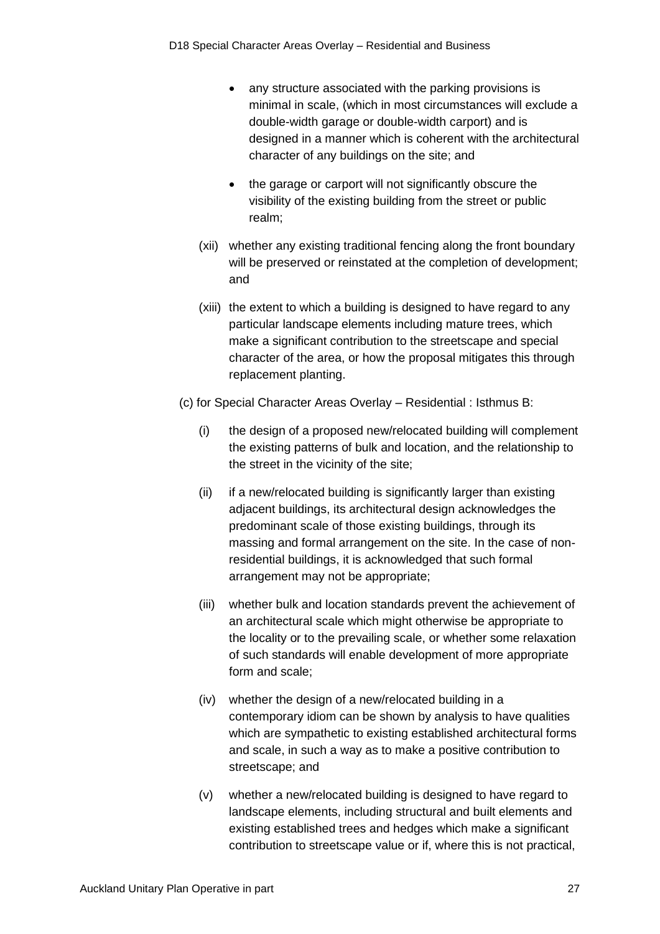- any structure associated with the parking provisions is minimal in scale, (which in most circumstances will exclude a double-width garage or double-width carport) and is designed in a manner which is coherent with the architectural character of any buildings on the site; and
- the garage or carport will not significantly obscure the visibility of the existing building from the street or public realm;
- (xii) whether any existing traditional fencing along the front boundary will be preserved or reinstated at the completion of development; and
- (xiii) the extent to which a building is designed to have regard to any particular landscape elements including mature trees, which make a significant contribution to the streetscape and special character of the area, or how the proposal mitigates this through replacement planting.
- (c) for Special Character Areas Overlay Residential : Isthmus B:
	- (i) the design of a proposed new/relocated building will complement the existing patterns of bulk and location, and the relationship to the street in the vicinity of the site;
	- (ii) if a new/relocated building is significantly larger than existing adjacent buildings, its architectural design acknowledges the predominant scale of those existing buildings, through its massing and formal arrangement on the site. In the case of nonresidential buildings, it is acknowledged that such formal arrangement may not be appropriate;
	- (iii) whether bulk and location standards prevent the achievement of an architectural scale which might otherwise be appropriate to the locality or to the prevailing scale, or whether some relaxation of such standards will enable development of more appropriate form and scale;
	- (iv) whether the design of a new/relocated building in a contemporary idiom can be shown by analysis to have qualities which are sympathetic to existing established architectural forms and scale, in such a way as to make a positive contribution to streetscape; and
	- (v) whether a new/relocated building is designed to have regard to landscape elements, including structural and built elements and existing established trees and hedges which make a significant contribution to streetscape value or if, where this is not practical,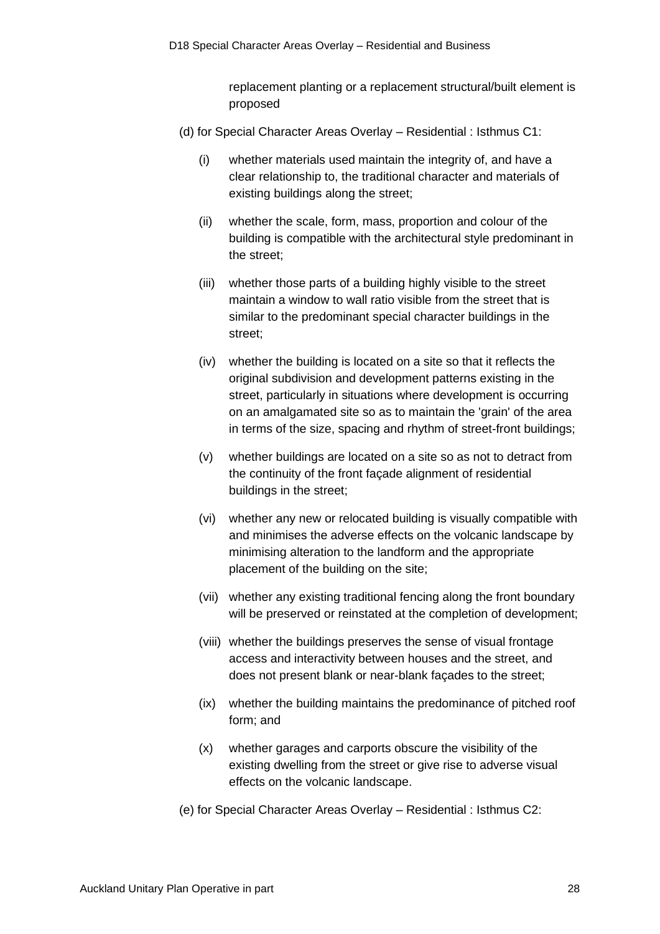replacement planting or a replacement structural/built element is proposed

- (d) for Special Character Areas Overlay Residential : Isthmus C1:
	- (i) whether materials used maintain the integrity of, and have a clear relationship to, the traditional character and materials of existing buildings along the street;
	- (ii) whether the scale, form, mass, proportion and colour of the building is compatible with the architectural style predominant in the street;
	- (iii) whether those parts of a building highly visible to the street maintain a window to wall ratio visible from the street that is similar to the predominant special character buildings in the street;
	- (iv) whether the building is located on a site so that it reflects the original subdivision and development patterns existing in the street, particularly in situations where development is occurring on an amalgamated site so as to maintain the 'grain' of the area in terms of the size, spacing and rhythm of street-front buildings;
	- (v) whether buildings are located on a site so as not to detract from the continuity of the front façade alignment of residential buildings in the street;
	- (vi) whether any new or relocated building is visually compatible with and minimises the adverse effects on the volcanic landscape by minimising alteration to the landform and the appropriate placement of the building on the site;
	- (vii) whether any existing traditional fencing along the front boundary will be preserved or reinstated at the completion of development;
	- (viii) whether the buildings preserves the sense of visual frontage access and interactivity between houses and the street, and does not present blank or near-blank façades to the street;
	- (ix) whether the building maintains the predominance of pitched roof form; and
	- (x) whether garages and carports obscure the visibility of the existing dwelling from the street or give rise to adverse visual effects on the volcanic landscape.
- (e) for Special Character Areas Overlay Residential : Isthmus C2: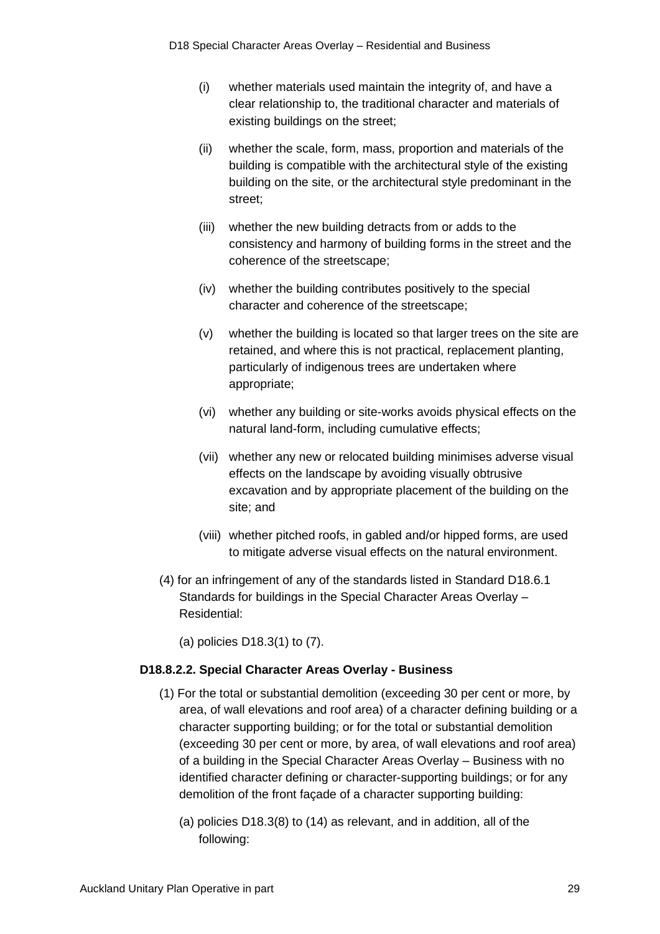- (i) whether materials used maintain the integrity of, and have a clear relationship to, the traditional character and materials of existing buildings on the street;
- (ii) whether the scale, form, mass, proportion and materials of the building is compatible with the architectural style of the existing building on the site, or the architectural style predominant in the street;
- (iii) whether the new building detracts from or adds to the consistency and harmony of building forms in the street and the coherence of the streetscape;
- (iv) whether the building contributes positively to the special character and coherence of the streetscape;
- (v) whether the building is located so that larger trees on the site are retained, and where this is not practical, replacement planting, particularly of indigenous trees are undertaken where appropriate;
- (vi) whether any building or site-works avoids physical effects on the natural land-form, including cumulative effects;
- (vii) whether any new or relocated building minimises adverse visual effects on the landscape by avoiding visually obtrusive excavation and by appropriate placement of the building on the site; and
- (viii) whether pitched roofs, in gabled and/or hipped forms, are used to mitigate adverse visual effects on the natural environment.
- (4) for an infringement of any of the standards listed in Standard D18.6.1 Standards for buildings in the Special Character Areas Overlay – Residential:

(a) policies D18.3(1) to (7).

### **D18.8.2.2. Special Character Areas Overlay - Business**

- (1) For the total or substantial demolition (exceeding 30 per cent or more, by area, of wall elevations and roof area) of a character defining building or a character supporting building; or for the total or substantial demolition (exceeding 30 per cent or more, by area, of wall elevations and roof area) of a building in the Special Character Areas Overlay – Business with no identified character defining or character-supporting buildings; or for any demolition of the front façade of a character supporting building:
	- (a) policies D18.3(8) to (14) as relevant, and in addition, all of the following: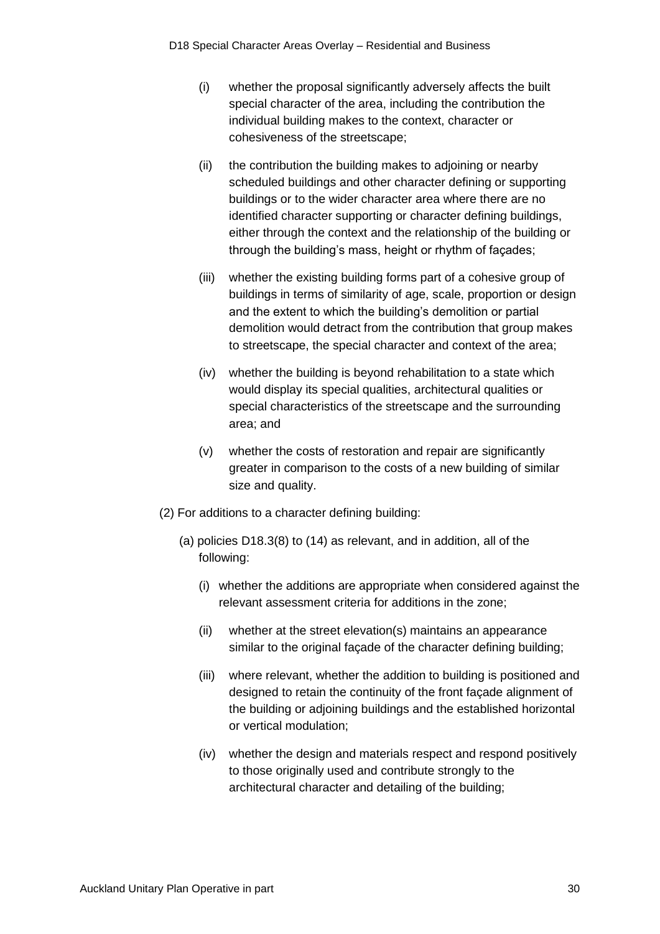- (i) whether the proposal significantly adversely affects the built special character of the area, including the contribution the individual building makes to the context, character or cohesiveness of the streetscape;
- (ii) the contribution the building makes to adjoining or nearby scheduled buildings and other character defining or supporting buildings or to the wider character area where there are no identified character supporting or character defining buildings, either through the context and the relationship of the building or through the building's mass, height or rhythm of façades;
- (iii) whether the existing building forms part of a cohesive group of buildings in terms of similarity of age, scale, proportion or design and the extent to which the building's demolition or partial demolition would detract from the contribution that group makes to streetscape, the special character and context of the area;
- (iv) whether the building is beyond rehabilitation to a state which would display its special qualities, architectural qualities or special characteristics of the streetscape and the surrounding area; and
- (v) whether the costs of restoration and repair are significantly greater in comparison to the costs of a new building of similar size and quality.
- (2) For additions to a character defining building:
	- (a) policies D18.3(8) to (14) as relevant, and in addition, all of the following:
		- (i) whether the additions are appropriate when considered against the relevant assessment criteria for additions in the zone;
		- (ii) whether at the street elevation(s) maintains an appearance similar to the original façade of the character defining building;
		- (iii) where relevant, whether the addition to building is positioned and designed to retain the continuity of the front façade alignment of the building or adjoining buildings and the established horizontal or vertical modulation;
		- (iv) whether the design and materials respect and respond positively to those originally used and contribute strongly to the architectural character and detailing of the building;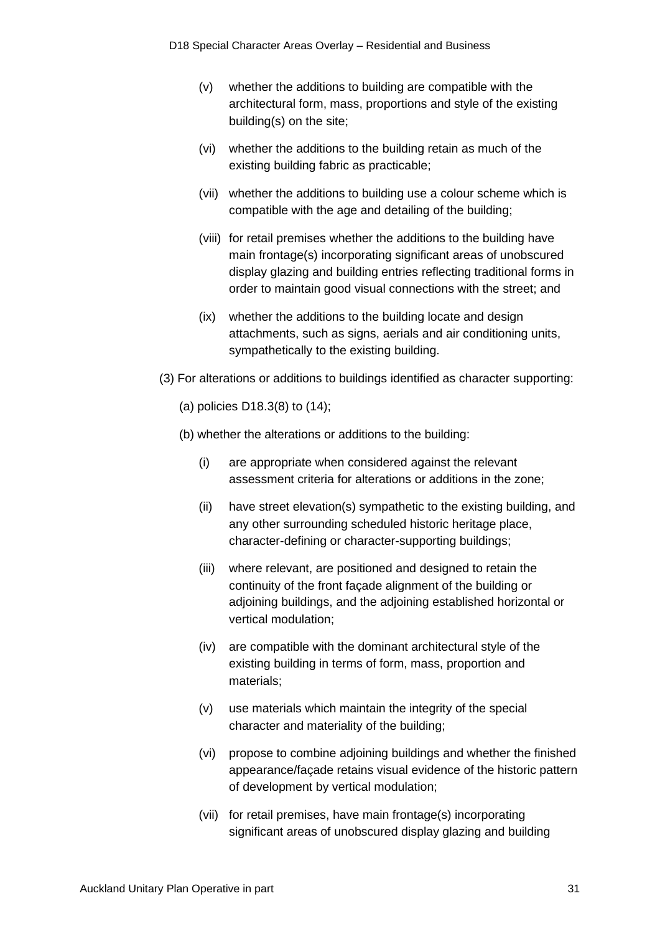- (v) whether the additions to building are compatible with the architectural form, mass, proportions and style of the existing building(s) on the site;
- (vi) whether the additions to the building retain as much of the existing building fabric as practicable;
- (vii) whether the additions to building use a colour scheme which is compatible with the age and detailing of the building;
- (viii) for retail premises whether the additions to the building have main frontage(s) incorporating significant areas of unobscured display glazing and building entries reflecting traditional forms in order to maintain good visual connections with the street; and
- (ix) whether the additions to the building locate and design attachments, such as signs, aerials and air conditioning units, sympathetically to the existing building.
- (3) For alterations or additions to buildings identified as character supporting:
	- (a) policies D18.3(8) to (14);
	- (b) whether the alterations or additions to the building:
		- (i) are appropriate when considered against the relevant assessment criteria for alterations or additions in the zone;
		- (ii) have street elevation(s) sympathetic to the existing building, and any other surrounding scheduled historic heritage place, character-defining or character-supporting buildings;
		- (iii) where relevant, are positioned and designed to retain the continuity of the front façade alignment of the building or adjoining buildings, and the adjoining established horizontal or vertical modulation;
		- (iv) are compatible with the dominant architectural style of the existing building in terms of form, mass, proportion and materials;
		- (v) use materials which maintain the integrity of the special character and materiality of the building;
		- (vi) propose to combine adjoining buildings and whether the finished appearance/façade retains visual evidence of the historic pattern of development by vertical modulation;
		- (vii) for retail premises, have main frontage(s) incorporating significant areas of unobscured display glazing and building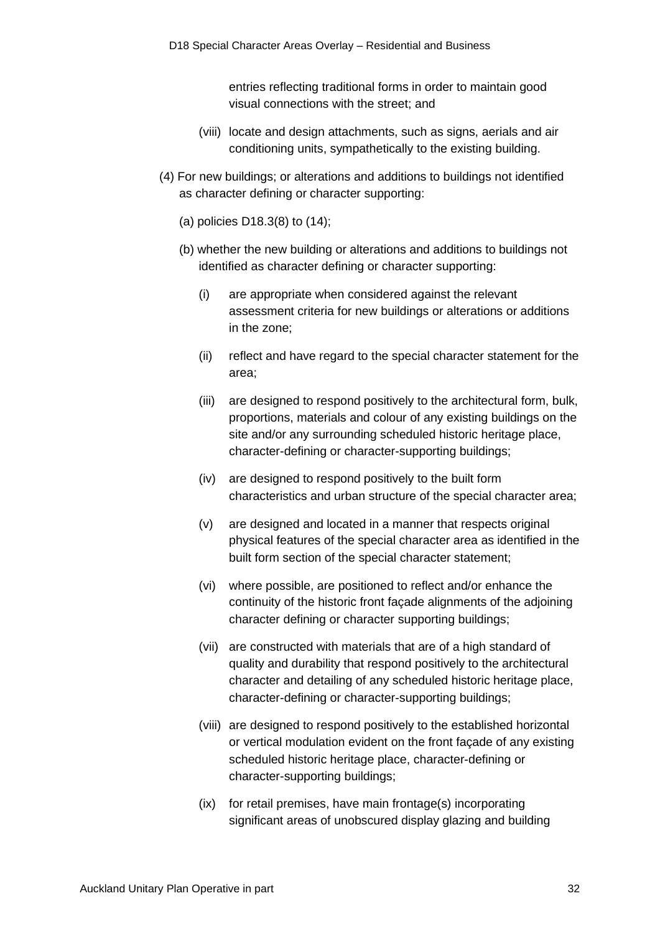entries reflecting traditional forms in order to maintain good visual connections with the street; and

- (viii) locate and design attachments, such as signs, aerials and air conditioning units, sympathetically to the existing building.
- (4) For new buildings; or alterations and additions to buildings not identified as character defining or character supporting:
	- (a) policies D18.3(8) to (14);
	- (b) whether the new building or alterations and additions to buildings not identified as character defining or character supporting:
		- (i) are appropriate when considered against the relevant assessment criteria for new buildings or alterations or additions in the zone;
		- (ii) reflect and have regard to the special character statement for the area;
		- (iii) are designed to respond positively to the architectural form, bulk, proportions, materials and colour of any existing buildings on the site and/or any surrounding scheduled historic heritage place, character-defining or character-supporting buildings;
		- (iv) are designed to respond positively to the built form characteristics and urban structure of the special character area;
		- (v) are designed and located in a manner that respects original physical features of the special character area as identified in the built form section of the special character statement;
		- (vi) where possible, are positioned to reflect and/or enhance the continuity of the historic front façade alignments of the adjoining character defining or character supporting buildings;
		- (vii) are constructed with materials that are of a high standard of quality and durability that respond positively to the architectural character and detailing of any scheduled historic heritage place, character-defining or character-supporting buildings;
		- (viii) are designed to respond positively to the established horizontal or vertical modulation evident on the front façade of any existing scheduled historic heritage place, character-defining or character-supporting buildings;
		- (ix) for retail premises, have main frontage(s) incorporating significant areas of unobscured display glazing and building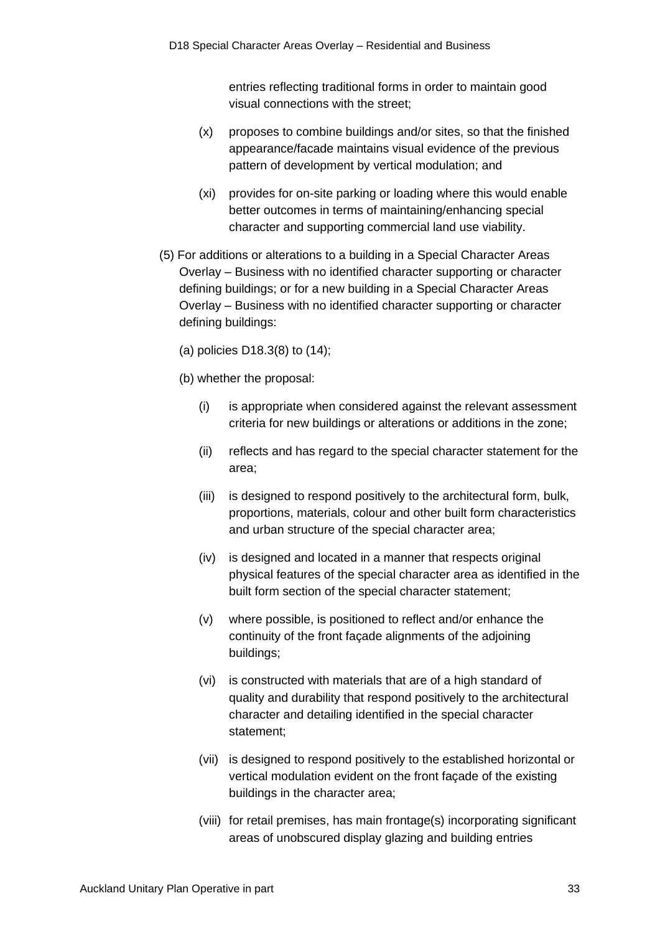entries reflecting traditional forms in order to maintain good visual connections with the street;

- (x) proposes to combine buildings and/or sites, so that the finished appearance/facade maintains visual evidence of the previous pattern of development by vertical modulation; and
- (xi) provides for on-site parking or loading where this would enable better outcomes in terms of maintaining/enhancing special character and supporting commercial land use viability.
- (5) For additions or alterations to a building in a Special Character Areas Overlay – Business with no identified character supporting or character defining buildings; or for a new building in a Special Character Areas Overlay – Business with no identified character supporting or character defining buildings:

(a) policies D18.3(8) to (14);

(b) whether the proposal:

- (i) is appropriate when considered against the relevant assessment criteria for new buildings or alterations or additions in the zone;
- (ii) reflects and has regard to the special character statement for the area;
- (iii) is designed to respond positively to the architectural form, bulk, proportions, materials, colour and other built form characteristics and urban structure of the special character area;
- (iv) is designed and located in a manner that respects original physical features of the special character area as identified in the built form section of the special character statement;
- (v) where possible, is positioned to reflect and/or enhance the continuity of the front façade alignments of the adjoining buildings;
- (vi) is constructed with materials that are of a high standard of quality and durability that respond positively to the architectural character and detailing identified in the special character statement;
- (vii) is designed to respond positively to the established horizontal or vertical modulation evident on the front façade of the existing buildings in the character area;
- (viii) for retail premises, has main frontage(s) incorporating significant areas of unobscured display glazing and building entries